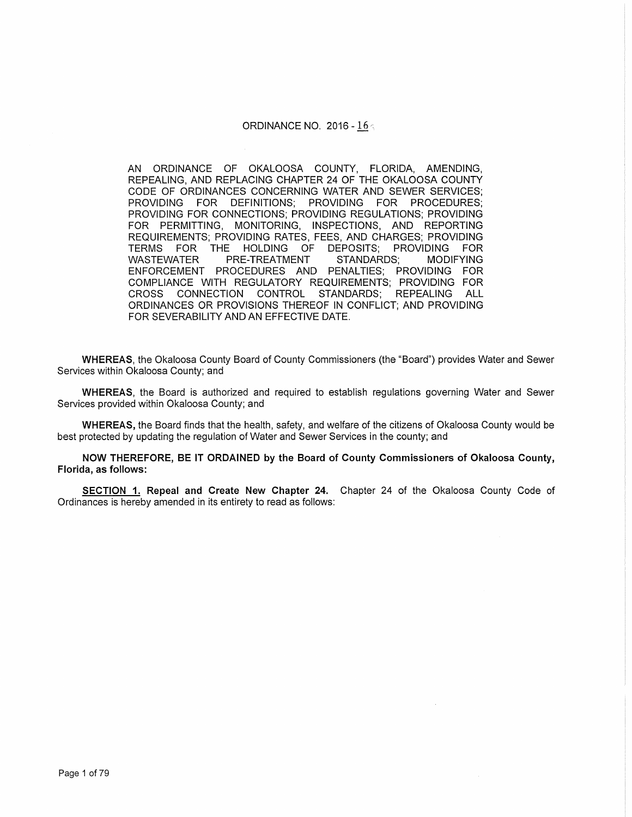#### ORDINANCE NO. 2016 -  $16<sub>9</sub>$

AN ORDINANCE OF OKALOOSA COUNTY, FLORIDA, AMENDING, REPEALING, AND REPLACING CHAPTER 24 OF THE OKALOOSA COUNTY CODE OF ORDINANCES CONCERNING WATER AND SEWER SERVICES; PROVIDING FOR DEFINITIONS; PROVIDING FOR PROCEDURES; PROVIDING FOR CONNECTIONS; PROVIDING REGULATIONS; PROVIDING FOR PERMITTING, MONITORING, INSPECTIONS, AND REPORTING REQUIREMENTS; PROVIDING RATES, FEES, AND CHARGES; PROVIDING TERMS FOR THE HOLDING OF DEPOSITS; PROVIDING FOR WASTEWATER PRE-TREATMENT STANDARDS; MODIFYING ENFORCEMENT PROCEDURES AND PENALTIES; PROVIDING FOR COMPLIANCE WITH REGULATORY REQUIREMENTS; PROVIDING FOR CROSS CONNECTION CONTROL STANDARDS; REPEALING ALL ORDINANCES OR PROVISIONS THEREOF IN CONFLICT; AND PROVIDING FOR SEVERABILITY AND AN EFFECTIVE DATE.

WHEREAS, the Okaloosa County Board of County Commissioners (the "Board") provides Water and Sewer Services within Okaloosa County; and

WHEREAS, the Board is authorized and required to establish regulations governing Water and Sewer Services provided within Okaloosa County; and

WHEREAS, the Board finds that the health, safety, and welfare of the citizens of Okaloosa County would be best protected by updating the regulation of Water and Sewer Services in the county; and

NOW THEREFORE, BE IT ORDAINED by the Board of County Commissioners of Okaloosa County, Florida, as follows:

SECTION 1. Repeal and Create New Chapter 24. Chapter 24 of the Okaloosa County Code of Ordinances is hereby amended in its entirety to read as follows: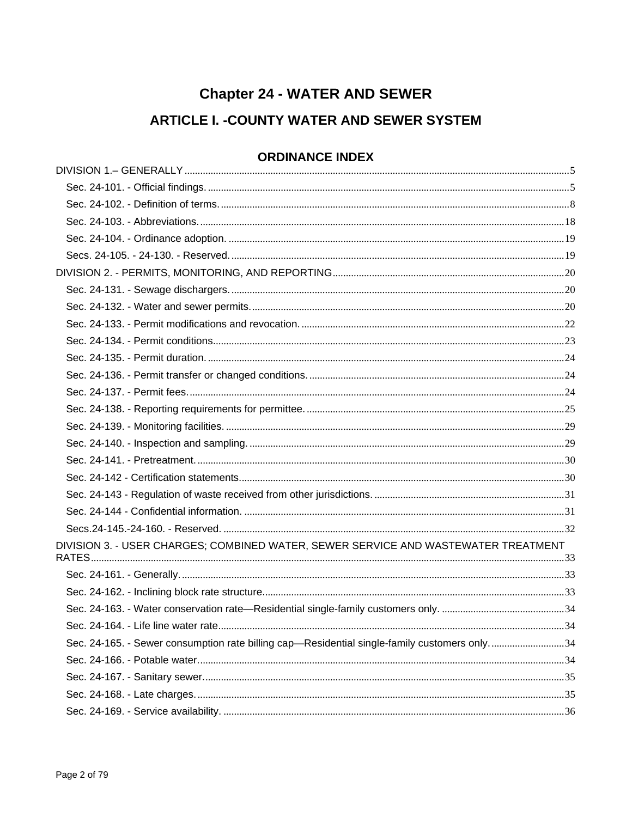# **Chapter 24 - WATER AND SEWER**

## **ARTICLE I. - COUNTY WATER AND SEWER SYSTEM**

## **ORDINANCE INDEX**

| DIVISION 3. - USER CHARGES; COMBINED WATER, SEWER SERVICE AND WASTEWATER TREATMENT           |  |
|----------------------------------------------------------------------------------------------|--|
|                                                                                              |  |
|                                                                                              |  |
|                                                                                              |  |
|                                                                                              |  |
| Sec. 24-165. - Sewer consumption rate billing cap—Residential single-family customers only34 |  |
|                                                                                              |  |
|                                                                                              |  |
|                                                                                              |  |
|                                                                                              |  |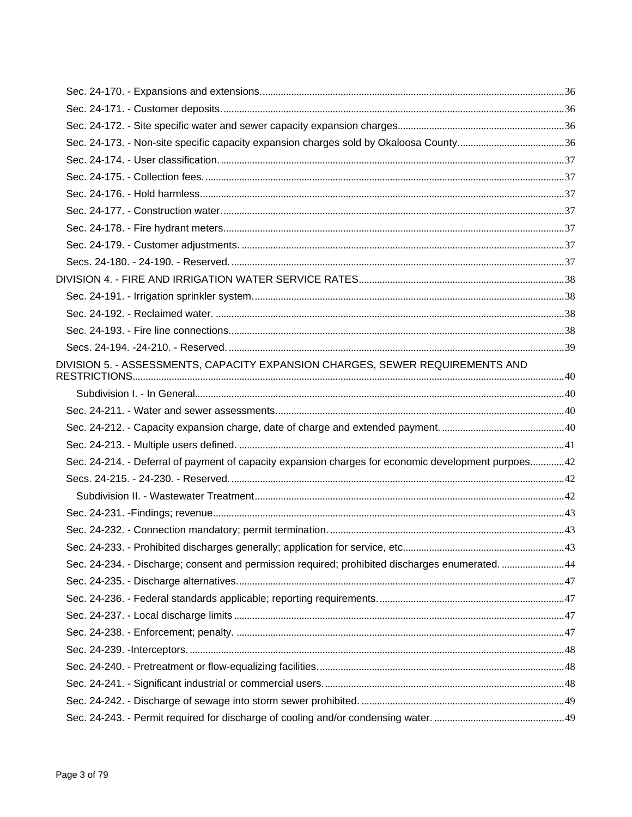| Sec. 24-173. - Non-site specific capacity expansion charges sold by Okaloosa County36               |  |
|-----------------------------------------------------------------------------------------------------|--|
|                                                                                                     |  |
|                                                                                                     |  |
|                                                                                                     |  |
|                                                                                                     |  |
|                                                                                                     |  |
|                                                                                                     |  |
|                                                                                                     |  |
|                                                                                                     |  |
|                                                                                                     |  |
|                                                                                                     |  |
|                                                                                                     |  |
|                                                                                                     |  |
| DIVISION 5. - ASSESSMENTS, CAPACITY EXPANSION CHARGES, SEWER REQUIREMENTS AND                       |  |
|                                                                                                     |  |
|                                                                                                     |  |
|                                                                                                     |  |
|                                                                                                     |  |
| Sec. 24-214. - Deferral of payment of capacity expansion charges for economic development purpoes42 |  |
|                                                                                                     |  |
|                                                                                                     |  |
|                                                                                                     |  |
|                                                                                                     |  |
|                                                                                                     |  |
| Sec. 24-234. - Discharge; consent and permission required; prohibited discharges enumerated44       |  |
|                                                                                                     |  |
|                                                                                                     |  |
|                                                                                                     |  |
|                                                                                                     |  |
|                                                                                                     |  |
|                                                                                                     |  |
|                                                                                                     |  |
|                                                                                                     |  |
|                                                                                                     |  |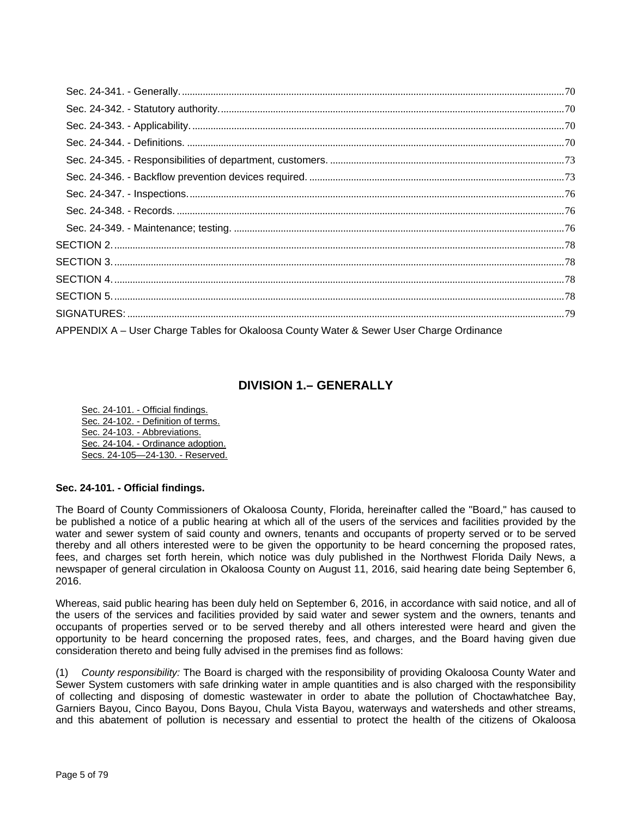| APPENDIX A - User Charge Tables for Okaloosa County Water & Sewer User Charge Ordinance |  |
|-----------------------------------------------------------------------------------------|--|

## **DIVISION 1.– GENERALLY**

Sec. 24-101. - Official findings. Sec. 24-102. - Definition of terms. Sec. 24-103. - Abbreviations. Sec. 24-104. - Ordinance adoption. Secs. 24-105—24-130. - Reserved.

#### **Sec. 24-101. - Official findings.**

The Board of County Commissioners of Okaloosa County, Florida, hereinafter called the "Board," has caused to be published a notice of a public hearing at which all of the users of the services and facilities provided by the water and sewer system of said county and owners, tenants and occupants of property served or to be served thereby and all others interested were to be given the opportunity to be heard concerning the proposed rates, fees, and charges set forth herein, which notice was duly published in the Northwest Florida Daily News, a newspaper of general circulation in Okaloosa County on August 11, 2016, said hearing date being September 6, 2016.

Whereas, said public hearing has been duly held on September 6, 2016, in accordance with said notice, and all of the users of the services and facilities provided by said water and sewer system and the owners, tenants and occupants of properties served or to be served thereby and all others interested were heard and given the opportunity to be heard concerning the proposed rates, fees, and charges, and the Board having given due consideration thereto and being fully advised in the premises find as follows:

(1) *County responsibility:* The Board is charged with the responsibility of providing Okaloosa County Water and Sewer System customers with safe drinking water in ample quantities and is also charged with the responsibility of collecting and disposing of domestic wastewater in order to abate the pollution of Choctawhatchee Bay, Garniers Bayou, Cinco Bayou, Dons Bayou, Chula Vista Bayou, waterways and watersheds and other streams, and this abatement of pollution is necessary and essential to protect the health of the citizens of Okaloosa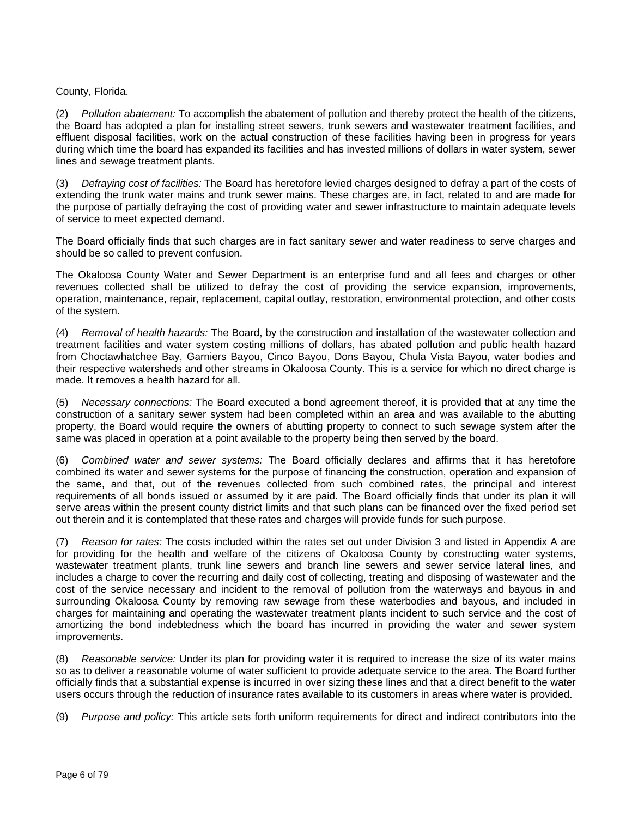#### County, Florida.

(2) *Pollution abatement:* To accomplish the abatement of pollution and thereby protect the health of the citizens, the Board has adopted a plan for installing street sewers, trunk sewers and wastewater treatment facilities, and effluent disposal facilities, work on the actual construction of these facilities having been in progress for years during which time the board has expanded its facilities and has invested millions of dollars in water system, sewer lines and sewage treatment plants.

(3) *Defraying cost of facilities:* The Board has heretofore levied charges designed to defray a part of the costs of extending the trunk water mains and trunk sewer mains. These charges are, in fact, related to and are made for the purpose of partially defraying the cost of providing water and sewer infrastructure to maintain adequate levels of service to meet expected demand.

The Board officially finds that such charges are in fact sanitary sewer and water readiness to serve charges and should be so called to prevent confusion.

The Okaloosa County Water and Sewer Department is an enterprise fund and all fees and charges or other revenues collected shall be utilized to defray the cost of providing the service expansion, improvements, operation, maintenance, repair, replacement, capital outlay, restoration, environmental protection, and other costs of the system.

(4) *Removal of health hazards:* The Board, by the construction and installation of the wastewater collection and treatment facilities and water system costing millions of dollars, has abated pollution and public health hazard from Choctawhatchee Bay, Garniers Bayou, Cinco Bayou, Dons Bayou, Chula Vista Bayou, water bodies and their respective watersheds and other streams in Okaloosa County. This is a service for which no direct charge is made. It removes a health hazard for all.

(5) *Necessary connections:* The Board executed a bond agreement thereof, it is provided that at any time the construction of a sanitary sewer system had been completed within an area and was available to the abutting property, the Board would require the owners of abutting property to connect to such sewage system after the same was placed in operation at a point available to the property being then served by the board.

(6) *Combined water and sewer systems:* The Board officially declares and affirms that it has heretofore combined its water and sewer systems for the purpose of financing the construction, operation and expansion of the same, and that, out of the revenues collected from such combined rates, the principal and interest requirements of all bonds issued or assumed by it are paid. The Board officially finds that under its plan it will serve areas within the present county district limits and that such plans can be financed over the fixed period set out therein and it is contemplated that these rates and charges will provide funds for such purpose.

(7) *Reason for rates:* The costs included within the rates set out under Division 3 and listed in Appendix A are for providing for the health and welfare of the citizens of Okaloosa County by constructing water systems, wastewater treatment plants, trunk line sewers and branch line sewers and sewer service lateral lines, and includes a charge to cover the recurring and daily cost of collecting, treating and disposing of wastewater and the cost of the service necessary and incident to the removal of pollution from the waterways and bayous in and surrounding Okaloosa County by removing raw sewage from these waterbodies and bayous, and included in charges for maintaining and operating the wastewater treatment plants incident to such service and the cost of amortizing the bond indebtedness which the board has incurred in providing the water and sewer system improvements.

(8) *Reasonable service:* Under its plan for providing water it is required to increase the size of its water mains so as to deliver a reasonable volume of water sufficient to provide adequate service to the area. The Board further officially finds that a substantial expense is incurred in over sizing these lines and that a direct benefit to the water users occurs through the reduction of insurance rates available to its customers in areas where water is provided.

(9) *Purpose and policy:* This article sets forth uniform requirements for direct and indirect contributors into the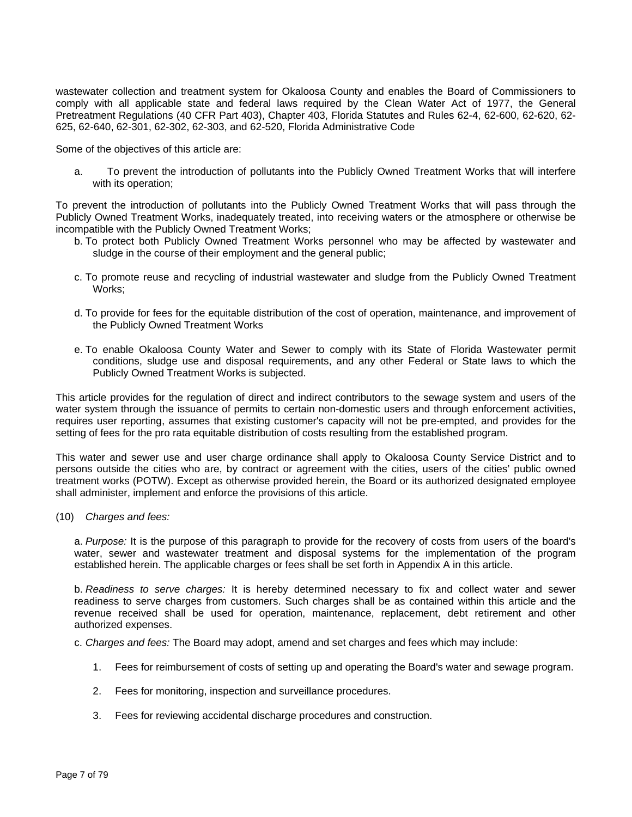wastewater collection and treatment system for Okaloosa County and enables the Board of Commissioners to comply with all applicable state and federal laws required by the Clean Water Act of 1977, the General Pretreatment Regulations (40 CFR Part 403), Chapter 403, Florida Statutes and Rules 62-4, 62-600, 62-620, 62- 625, 62-640, 62-301, 62-302, 62-303, and 62-520, Florida Administrative Code

Some of the objectives of this article are:

a. To prevent the introduction of pollutants into the Publicly Owned Treatment Works that will interfere with its operation;

To prevent the introduction of pollutants into the Publicly Owned Treatment Works that will pass through the Publicly Owned Treatment Works, inadequately treated, into receiving waters or the atmosphere or otherwise be incompatible with the Publicly Owned Treatment Works;

- b. To protect both Publicly Owned Treatment Works personnel who may be affected by wastewater and sludge in the course of their employment and the general public;
- c. To promote reuse and recycling of industrial wastewater and sludge from the Publicly Owned Treatment Works;
- d. To provide for fees for the equitable distribution of the cost of operation, maintenance, and improvement of the Publicly Owned Treatment Works
- e. To enable Okaloosa County Water and Sewer to comply with its State of Florida Wastewater permit conditions, sludge use and disposal requirements, and any other Federal or State laws to which the Publicly Owned Treatment Works is subjected.

This article provides for the regulation of direct and indirect contributors to the sewage system and users of the water system through the issuance of permits to certain non-domestic users and through enforcement activities, requires user reporting, assumes that existing customer's capacity will not be pre-empted, and provides for the setting of fees for the pro rata equitable distribution of costs resulting from the established program.

This water and sewer use and user charge ordinance shall apply to Okaloosa County Service District and to persons outside the cities who are, by contract or agreement with the cities, users of the cities' public owned treatment works (POTW). Except as otherwise provided herein, the Board or its authorized designated employee shall administer, implement and enforce the provisions of this article.

(10) *Charges and fees:*

a. *Purpose:* It is the purpose of this paragraph to provide for the recovery of costs from users of the board's water, sewer and wastewater treatment and disposal systems for the implementation of the program established herein. The applicable charges or fees shall be set forth in Appendix A in this article.

b. *Readiness to serve charges:* It is hereby determined necessary to fix and collect water and sewer readiness to serve charges from customers. Such charges shall be as contained within this article and the revenue received shall be used for operation, maintenance, replacement, debt retirement and other authorized expenses.

c. *Charges and fees:* The Board may adopt, amend and set charges and fees which may include:

1. Fees for reimbursement of costs of setting up and operating the Board's water and sewage program.

Fees for monitoring, inspection and surveillance procedures.

3. Fees for reviewing accidental discharge procedures and construction.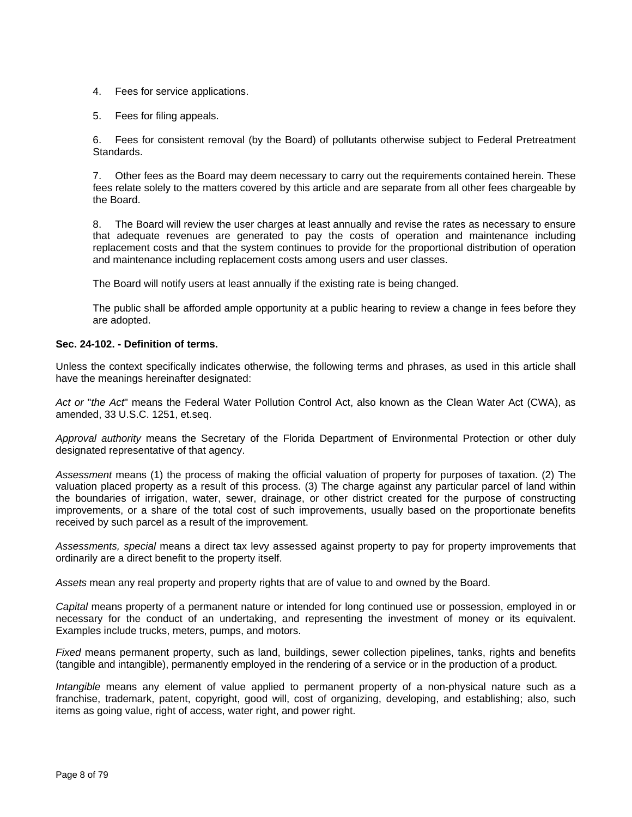- 4. Fees for service applications.
- 5. Fees for filing appeals.

6. Fees for consistent removal (by the Board) of pollutants otherwise subject to Federal Pretreatment Standards.

7. Other fees as the Board may deem necessary to carry out the requirements contained herein. These fees relate solely to the matters covered by this article and are separate from all other fees chargeable by the Board.

8. The Board will review the user charges at least annually and revise the rates as necessary to ensure that adequate revenues are generated to pay the costs of operation and maintenance including replacement costs and that the system continues to provide for the proportional distribution of operation and maintenance including replacement costs among users and user classes.

The Board will notify users at least annually if the existing rate is being changed.

The public shall be afforded ample opportunity at a public hearing to review a change in fees before they are adopted.

#### **Sec. 24-102. - Definition of terms.**

Unless the context specifically indicates otherwise, the following terms and phrases, as used in this article shall have the meanings hereinafter designated:

*Act or* "*the Act*" means the Federal Water Pollution Control Act, also known as the Clean Water Act (CWA), as amended, 33 U.S.C. 1251, et.seq.

*Approval authority* means the Secretary of the Florida Department of Environmental Protection or other duly designated representative of that agency.

*Assessment* means (1) the process of making the official valuation of property for purposes of taxation. (2) The valuation placed property as a result of this process. (3) The charge against any particular parcel of land within the boundaries of irrigation, water, sewer, drainage, or other district created for the purpose of constructing improvements, or a share of the total cost of such improvements, usually based on the proportionate benefits received by such parcel as a result of the improvement.

*Assessments, special* means a direct tax levy assessed against property to pay for property improvements that ordinarily are a direct benefit to the property itself.

*Assets* mean any real property and property rights that are of value to and owned by the Board.

*Capital* means property of a permanent nature or intended for long continued use or possession, employed in or necessary for the conduct of an undertaking, and representing the investment of money or its equivalent. Examples include trucks, meters, pumps, and motors.

*Fixed* means permanent property, such as land, buildings, sewer collection pipelines, tanks, rights and benefits (tangible and intangible), permanently employed in the rendering of a service or in the production of a product.

*Intangible* means any element of value applied to permanent property of a non-physical nature such as a franchise, trademark, patent, copyright, good will, cost of organizing, developing, and establishing; also, such items as going value, right of access, water right, and power right.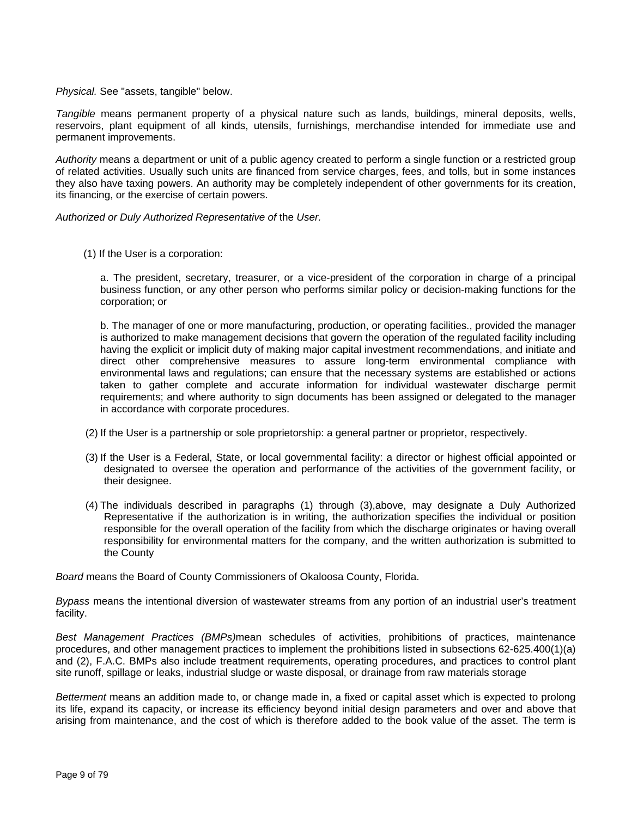*Physical.* See "assets, tangible" below.

*Tangible* means permanent property of a physical nature such as lands, buildings, mineral deposits, wells, reservoirs, plant equipment of all kinds, utensils, furnishings, merchandise intended for immediate use and permanent improvements.

*Authority* means a department or unit of a public agency created to perform a single function or a restricted group of related activities. Usually such units are financed from service charges, fees, and tolls, but in some instances they also have taxing powers. An authority may be completely independent of other governments for its creation, its financing, or the exercise of certain powers.

*Authorized or Duly Authorized Representative of* the *User.*

(1) If the User is a corporation:

a. The president, secretary, treasurer, or a vice-president of the corporation in charge of a principal business function, or any other person who performs similar policy or decision-making functions for the corporation; or

b. The manager of one or more manufacturing, production, or operating facilities., provided the manager is authorized to make management decisions that govern the operation of the regulated facility including having the explicit or implicit duty of making major capital investment recommendations, and initiate and direct other comprehensive measures to assure long-term environmental compliance with environmental laws and regulations; can ensure that the necessary systems are established or actions taken to gather complete and accurate information for individual wastewater discharge permit requirements; and where authority to sign documents has been assigned or delegated to the manager in accordance with corporate procedures.

- (2) If the User is a partnership or sole proprietorship: a general partner or proprietor, respectively.
- (3) If the User is a Federal, State, or local governmental facility: a director or highest official appointed or designated to oversee the operation and performance of the activities of the government facility, or their designee.
- (4) The individuals described in paragraphs (1) through (3),above, may designate a Duly Authorized Representative if the authorization is in writing, the authorization specifies the individual or position responsible for the overall operation of the facility from which the discharge originates or having overall responsibility for environmental matters for the company, and the written authorization is submitted to the County

*Board* means the Board of County Commissioners of Okaloosa County, Florida.

*Bypass* means the intentional diversion of wastewater streams from any portion of an industrial user's treatment facility.

*Best Management Practices (BMPs)*mean schedules of activities, prohibitions of practices, maintenance procedures, and other management practices to implement the prohibitions listed in subsections 62-625.400(1)(a) and (2), F.A.C. BMPs also include treatment requirements, operating procedures, and practices to control plant site runoff, spillage or leaks, industrial sludge or waste disposal, or drainage from raw materials storage

*Betterment* means an addition made to, or change made in, a fixed or capital asset which is expected to prolong its life, expand its capacity, or increase its efficiency beyond initial design parameters and over and above that arising from maintenance, and the cost of which is therefore added to the book value of the asset. The term is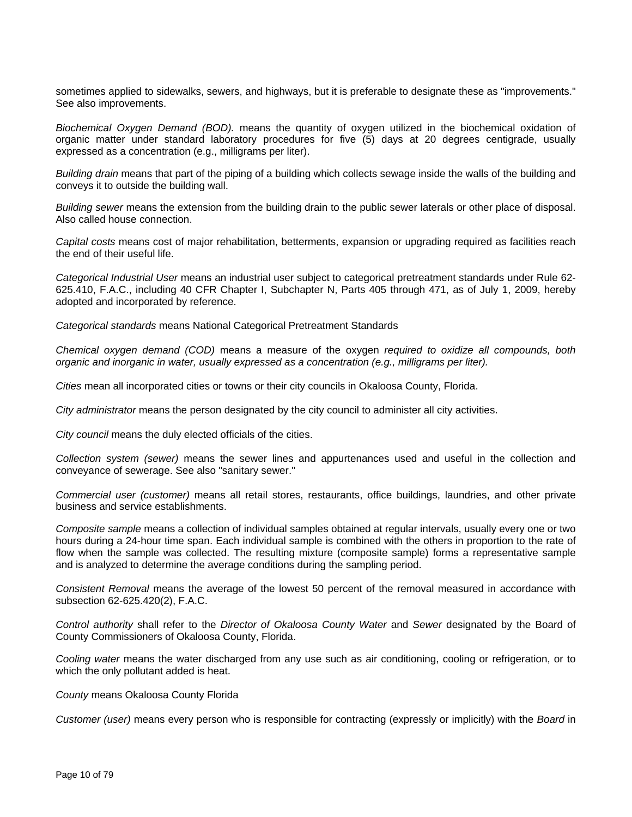sometimes applied to sidewalks, sewers, and highways, but it is preferable to designate these as "improvements." See also improvements.

*Biochemical Oxygen Demand (BOD).* means the quantity of oxygen utilized in the biochemical oxidation of organic matter under standard laboratory procedures for five (5) days at 20 degrees centigrade, usually expressed as a concentration (e.g., milligrams per liter).

*Building drain* means that part of the piping of a building which collects sewage inside the walls of the building and conveys it to outside the building wall.

*Building sewer* means the extension from the building drain to the public sewer laterals or other place of disposal. Also called house connection.

*Capital costs* means cost of major rehabilitation, betterments, expansion or upgrading required as facilities reach the end of their useful life.

*Categorical Industrial User* means an industrial user subject to categorical pretreatment standards under Rule 62- 625.410, F.A.C., including 40 CFR Chapter I, Subchapter N, Parts 405 through 471, as of July 1, 2009, hereby adopted and incorporated by reference.

*Categorical standards* means National Categorical Pretreatment Standards

*Chemical oxygen demand (COD)* means a measure of the oxygen *required to oxidize all compounds, both organic and inorganic in water, usually expressed as a concentration (e.g., milligrams per liter).*

*Cities* mean all incorporated cities or towns or their city councils in Okaloosa County, Florida.

*City administrator* means the person designated by the city council to administer all city activities.

*City council* means the duly elected officials of the cities.

*Collection system (sewer)* means the sewer lines and appurtenances used and useful in the collection and conveyance of sewerage. See also "sanitary sewer."

*Commercial user (customer)* means all retail stores, restaurants, office buildings, laundries, and other private business and service establishments.

*Composite sample* means a collection of individual samples obtained at regular intervals, usually every one or two hours during a 24-hour time span. Each individual sample is combined with the others in proportion to the rate of flow when the sample was collected. The resulting mixture (composite sample) forms a representative sample and is analyzed to determine the average conditions during the sampling period.

*Consistent Removal* means the average of the lowest 50 percent of the removal measured in accordance with subsection 62-625.420(2), F.A.C.

*Control authority* shall refer to the *Director of Okaloosa County Water* and *Sewer* designated by the Board of County Commissioners of Okaloosa County, Florida.

*Cooling water* means the water discharged from any use such as air conditioning, cooling or refrigeration, or to which the only pollutant added is heat.

#### *County* means Okaloosa County Florida

*Customer (user)* means every person who is responsible for contracting (expressly or implicitly) with the *Board* in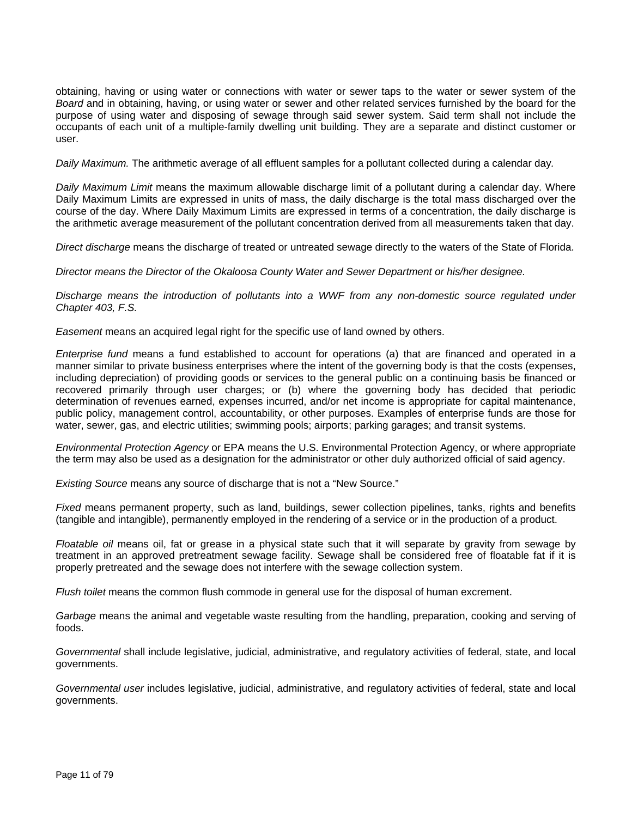obtaining, having or using water or connections with water or sewer taps to the water or sewer system of the *Board* and in obtaining, having, or using water or sewer and other related services furnished by the board for the purpose of using water and disposing of sewage through said sewer system. Said term shall not include the occupants of each unit of a multiple-family dwelling unit building. They are a separate and distinct customer or user.

*Daily Maximum.* The arithmetic average of all effluent samples for a pollutant collected during a calendar day*.*

*Daily Maximum Limit* means the maximum allowable discharge limit of a pollutant during a calendar day. Where Daily Maximum Limits are expressed in units of mass, the daily discharge is the total mass discharged over the course of the day. Where Daily Maximum Limits are expressed in terms of a concentration, the daily discharge is the arithmetic average measurement of the pollutant concentration derived from all measurements taken that day.

*Direct discharge* means the discharge of treated or untreated sewage directly to the waters of the State of Florida.

*Director means the Director of the Okaloosa County Water and Sewer Department or his/her designee.*

*Discharge means the introduction of pollutants into a WWF from any non-domestic source regulated under Chapter 403, F.S.*

*Easement* means an acquired legal right for the specific use of land owned by others.

*Enterprise fund* means a fund established to account for operations (a) that are financed and operated in a manner similar to private business enterprises where the intent of the governing body is that the costs (expenses, including depreciation) of providing goods or services to the general public on a continuing basis be financed or recovered primarily through user charges; or (b) where the governing body has decided that periodic determination of revenues earned, expenses incurred, and/or net income is appropriate for capital maintenance, public policy, management control, accountability, or other purposes. Examples of enterprise funds are those for water, sewer, gas, and electric utilities; swimming pools; airports; parking garages; and transit systems.

*Environmental Protection Agency* or EPA means the U.S. Environmental Protection Agency, or where appropriate the term may also be used as a designation for the administrator or other duly authorized official of said agency.

*Existing Source* means any source of discharge that is not a "New Source."

*Fixed* means permanent property, such as land, buildings, sewer collection pipelines, tanks, rights and benefits (tangible and intangible), permanently employed in the rendering of a service or in the production of a product.

*Floatable oil* means oil, fat or grease in a physical state such that it will separate by gravity from sewage by treatment in an approved pretreatment sewage facility. Sewage shall be considered free of floatable fat if it is properly pretreated and the sewage does not interfere with the sewage collection system.

*Flush toilet* means the common flush commode in general use for the disposal of human excrement.

*Garbage* means the animal and vegetable waste resulting from the handling, preparation, cooking and serving of foods.

*Governmental* shall include legislative, judicial, administrative, and regulatory activities of federal, state, and local governments.

*Governmental user* includes legislative, judicial, administrative, and regulatory activities of federal, state and local governments.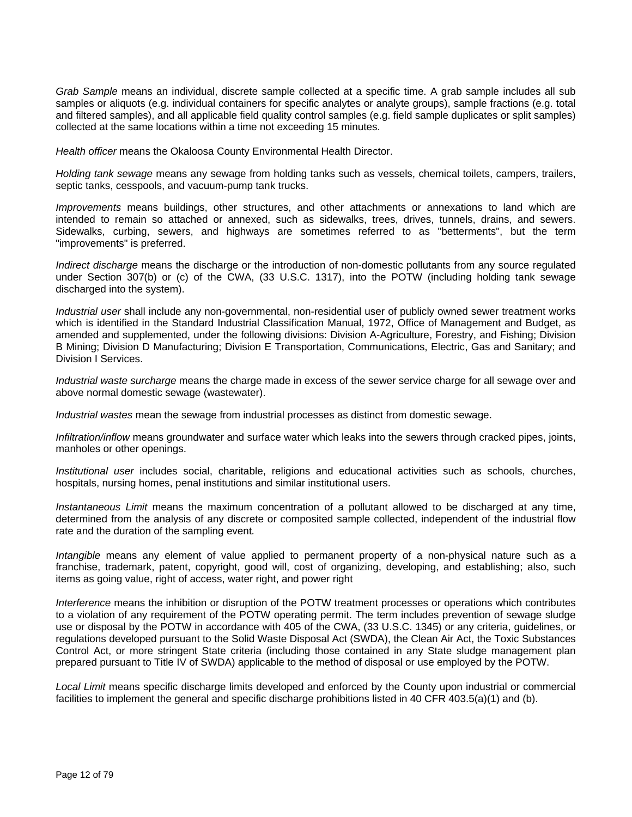*Grab Sample* means an individual, discrete sample collected at a specific time. A grab sample includes all sub samples or aliquots (e.g. individual containers for specific analytes or analyte groups), sample fractions (e.g. total and filtered samples), and all applicable field quality control samples (e.g. field sample duplicates or split samples) collected at the same locations within a time not exceeding 15 minutes.

*Health officer* means the Okaloosa County Environmental Health Director.

*Holding tank sewage* means any sewage from holding tanks such as vessels, chemical toilets, campers, trailers, septic tanks, cesspools, and vacuum-pump tank trucks.

*Improvements* means buildings, other structures, and other attachments or annexations to land which are intended to remain so attached or annexed, such as sidewalks, trees, drives, tunnels, drains, and sewers. Sidewalks, curbing, sewers, and highways are sometimes referred to as "betterments", but the term "improvements" is preferred.

*Indirect discharge* means the discharge or the introduction of non-domestic pollutants from any source regulated under Section 307(b) or (c) of the CWA, (33 U.S.C. 1317), into the POTW (including holding tank sewage discharged into the system).

*Industrial user* shall include any non-governmental, non-residential user of publicly owned sewer treatment works which is identified in the Standard Industrial Classification Manual, 1972, Office of Management and Budget, as amended and supplemented, under the following divisions: Division A-Agriculture, Forestry, and Fishing; Division B Mining; Division D Manufacturing; Division E Transportation, Communications, Electric, Gas and Sanitary; and Division I Services.

*Industrial waste surcharge* means the charge made in excess of the sewer service charge for all sewage over and above normal domestic sewage (wastewater).

*Industrial wastes* mean the sewage from industrial processes as distinct from domestic sewage.

*Infiltration/inflow* means groundwater and surface water which leaks into the sewers through cracked pipes, joints, manholes or other openings.

*Institutional user* includes social, charitable, religions and educational activities such as schools, churches, hospitals, nursing homes, penal institutions and similar institutional users.

*Instantaneous Limit* means the maximum concentration of a pollutant allowed to be discharged at any time, determined from the analysis of any discrete or composited sample collected, independent of the industrial flow rate and the duration of the sampling event*.*

*Intangible* means any element of value applied to permanent property of a non-physical nature such as a franchise, trademark, patent, copyright, good will, cost of organizing, developing, and establishing; also, such items as going value, right of access, water right, and power right

*Interference* means the inhibition or disruption of the POTW treatment processes or operations which contributes to a violation of any requirement of the POTW operating permit. The term includes prevention of sewage sludge use or disposal by the POTW in accordance with 405 of the CWA, (33 U.S.C. 1345) or any criteria, guidelines, or regulations developed pursuant to the Solid Waste Disposal Act (SWDA), the Clean Air Act, the Toxic Substances Control Act, or more stringent State criteria (including those contained in any State sludge management plan prepared pursuant to Title IV of SWDA) applicable to the method of disposal or use employed by the POTW.

*Local Limit* means specific discharge limits developed and enforced by the County upon industrial or commercial facilities to implement the general and specific discharge prohibitions listed in 40 CFR 403.5(a)(1) and (b).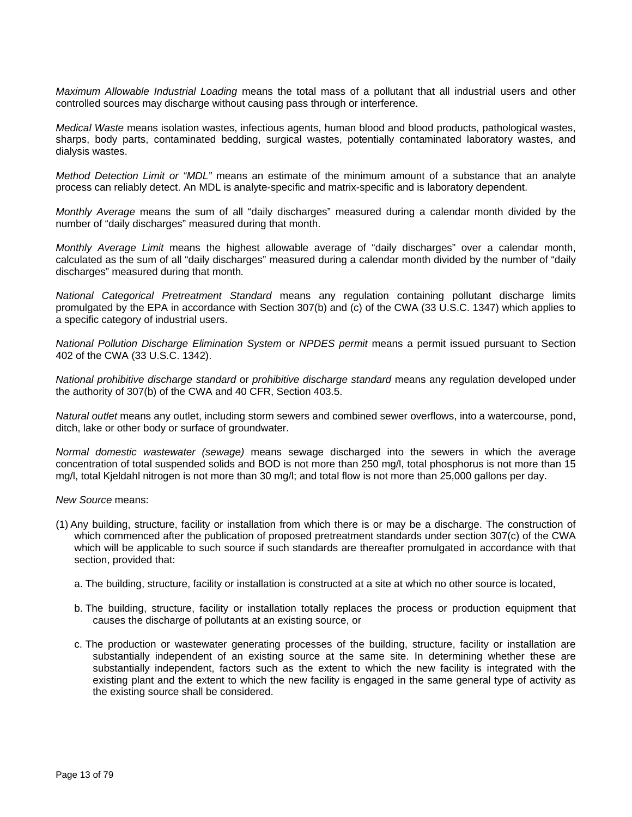*Maximum Allowable Industrial Loading* means the total mass of a pollutant that all industrial users and other controlled sources may discharge without causing pass through or interference.

*Medical Waste* means isolation wastes, infectious agents, human blood and blood products, pathological wastes, sharps, body parts, contaminated bedding, surgical wastes, potentially contaminated laboratory wastes, and dialysis wastes.

*Method Detection Limit or "MDL"* means an estimate of the minimum amount of a substance that an analyte process can reliably detect. An MDL is analyte-specific and matrix-specific and is laboratory dependent.

*Monthly Average* means the sum of all "daily discharges" measured during a calendar month divided by the number of "daily discharges" measured during that month.

*Monthly Average Limit* means the highest allowable average of "daily discharges" over a calendar month, calculated as the sum of all "daily discharges" measured during a calendar month divided by the number of "daily discharges" measured during that month*.*

*National Categorical Pretreatment Standard* means any regulation containing pollutant discharge limits promulgated by the EPA in accordance with Section 307(b) and (c) of the CWA (33 U.S.C. 1347) which applies to a specific category of industrial users.

*National Pollution Discharge Elimination System* or *NPDES permit* means a permit issued pursuant to Section 402 of the CWA (33 U.S.C. 1342).

*National prohibitive discharge standard* or *prohibitive discharge standard* means any regulation developed under the authority of 307(b) of the CWA and 40 CFR, Section 403.5.

*Natural outlet* means any outlet, including storm sewers and combined sewer overflows, into a watercourse, pond, ditch, lake or other body or surface of groundwater.

*Normal domestic wastewater (sewage)* means sewage discharged into the sewers in which the average concentration of total suspended solids and BOD is not more than 250 mg/l, total phosphorus is not more than 15 mg/l, total Kjeldahl nitrogen is not more than 30 mg/l; and total flow is not more than 25,000 gallons per day.

*New Source* means:

- (1) Any building, structure, facility or installation from which there is or may be a discharge. The construction of which commenced after the publication of proposed pretreatment standards under section 307(c) of the CWA which will be applicable to such source if such standards are thereafter promulgated in accordance with that section, provided that:
	- a. The building, structure, facility or installation is constructed at a site at which no other source is located,
	- b. The building, structure, facility or installation totally replaces the process or production equipment that causes the discharge of pollutants at an existing source, or
	- c. The production or wastewater generating processes of the building, structure, facility or installation are substantially independent of an existing source at the same site. In determining whether these are substantially independent, factors such as the extent to which the new facility is integrated with the existing plant and the extent to which the new facility is engaged in the same general type of activity as the existing source shall be considered.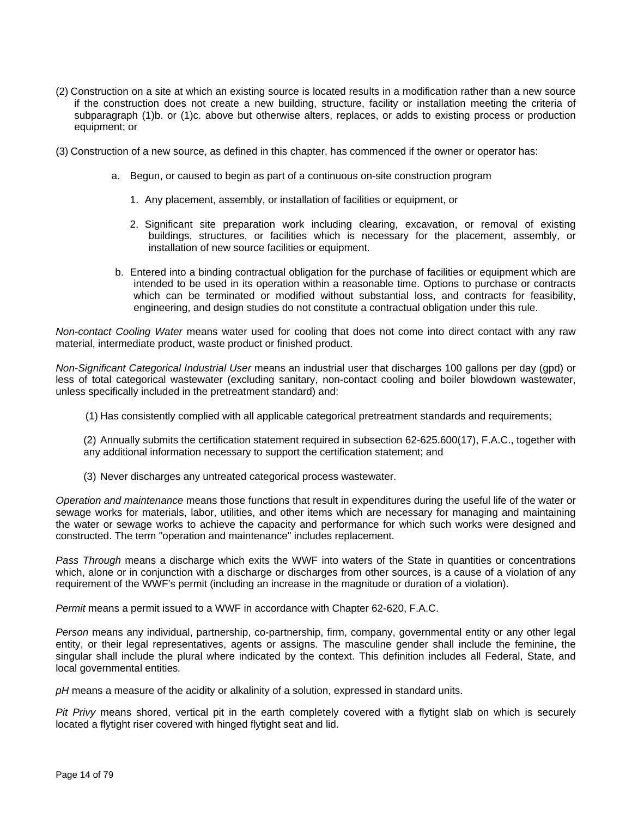- (2) Construction on a site at which an existing source is located results in a modification rather than a new source if the construction does not create a new building, structure, facility or installation meeting the criteria of subparagraph (1)b. or (1)c. above but otherwise alters, replaces, or adds to existing process or production equipment; or
- (3) Construction of a new source, as defined in this chapter, has commenced if the owner or operator has:
	- a. Begun, or caused to begin as part of a continuous on-site construction program
		- 1. Any placement, assembly, or installation of facilities or equipment, or
		- 2. Significant site preparation work including clearing, excavation, or removal of existing buildings, structures, or facilities which is necessary for the placement, assembly, or installation of new source facilities or equipment.
	- b. Entered into a binding contractual obligation for the purchase of facilities or equipment which are intended to be used in its operation within a reasonable time. Options to purchase or contracts which can be terminated or modified without substantial loss, and contracts for feasibility, engineering, and design studies do not constitute a contractual obligation under this rule.

*Non-contact Cooling Water* means water used for cooling that does not come into direct contact with any raw material, intermediate product, waste product or finished product.

*Non-Significant Categorical Industrial User* means an industrial user that discharges 100 gallons per day (gpd) or less of total categorical wastewater (excluding sanitary, non-contact cooling and boiler blowdown wastewater, unless specifically included in the pretreatment standard) and:

(1) Has consistently complied with all applicable categorical pretreatment standards and requirements;

(2) Annually submits the certification statement required in subsection 62-625.600(17), F.A.C., together with any additional information necessary to support the certification statement; and

(3) Never discharges any untreated categorical process wastewater.

*Operation and maintenance* means those functions that result in expenditures during the useful life of the water or sewage works for materials, labor, utilities, and other items which are necessary for managing and maintaining the water or sewage works to achieve the capacity and performance for which such works were designed and constructed. The term "operation and maintenance" includes replacement.

*Pass Through* means a discharge which exits the WWF into waters of the State in quantities or concentrations which, alone or in conjunction with a discharge or discharges from other sources, is a cause of a violation of any requirement of the WWF's permit (including an increase in the magnitude or duration of a violation).

*Permit* means a permit issued to a WWF in accordance with Chapter 62-620, F.A.C.

*Person* means any individual, partnership, co-partnership, firm, company, governmental entity or any other legal entity, or their legal representatives, agents or assigns. The masculine gender shall include the feminine, the singular shall include the plural where indicated by the context. This definition includes all Federal, State, and local governmental entities*.*

*pH* means a measure of the acidity or alkalinity of a solution, expressed in standard units.

*Pit Privy* means shored, vertical pit in the earth completely covered with a flytight slab on which is securely located a flytight riser covered with hinged flytight seat and lid.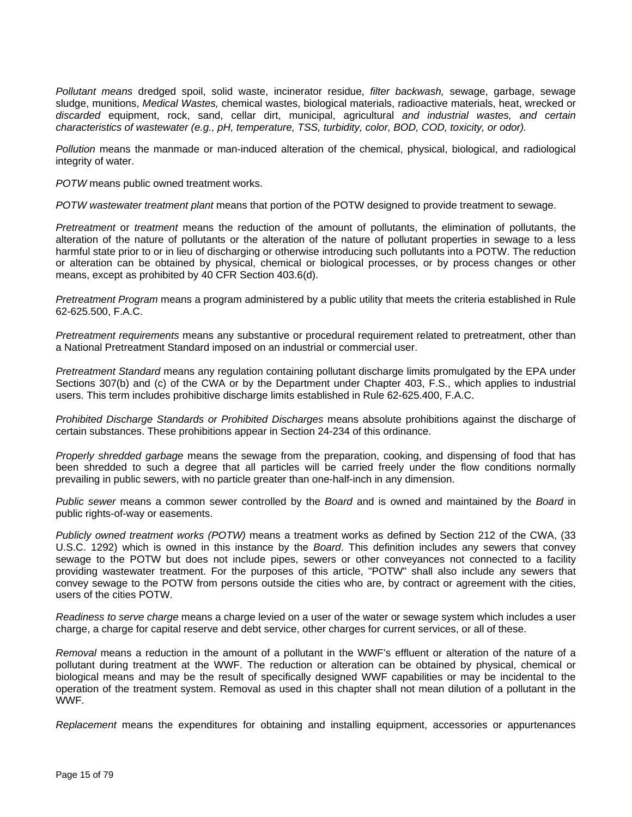*Pollutant means* dredged spoil, solid waste, incinerator residue, *filter backwash,* sewage, garbage, sewage sludge, munitions, *Medical Wastes,* chemical wastes, biological materials, radioactive materials, heat, wrecked or *discarded* equipment, rock, sand, cellar dirt, municipal, agricultural *and industrial wastes, and certain characteristics of wastewater (e.g., pH, temperature, TSS, turbidity, color, BOD, COD, toxicity, or odor).*

*Pollution* means the manmade or man-induced alteration of the chemical, physical, biological, and radiological integrity of water.

*POTW* means public owned treatment works.

*POTW wastewater treatment plant* means that portion of the POTW designed to provide treatment to sewage.

*Pretreatment* or *treatment* means the reduction of the amount of pollutants, the elimination of pollutants, the alteration of the nature of pollutants or the alteration of the nature of pollutant properties in sewage to a less harmful state prior to or in lieu of discharging or otherwise introducing such pollutants into a POTW. The reduction or alteration can be obtained by physical, chemical or biological processes, or by process changes or other means, except as prohibited by 40 CFR Section 403.6(d).

*Pretreatment Program* means a program administered by a public utility that meets the criteria established in Rule 62-625.500, F.A.C.

*Pretreatment requirements* means any substantive or procedural requirement related to pretreatment, other than a National Pretreatment Standard imposed on an industrial or commercial user.

*Pretreatment Standard* means any regulation containing pollutant discharge limits promulgated by the EPA under Sections 307(b) and (c) of the CWA or by the Department under Chapter 403, F.S., which applies to industrial users. This term includes prohibitive discharge limits established in Rule 62-625.400, F.A.C.

*Prohibited Discharge Standards or Prohibited Discharges* means absolute prohibitions against the discharge of certain substances. These prohibitions appear in Section 24-234 of this ordinance.

*Properly shredded garbage* means the sewage from the preparation, cooking, and dispensing of food that has been shredded to such a degree that all particles will be carried freely under the flow conditions normally prevailing in public sewers, with no particle greater than one-half-inch in any dimension.

*Public sewer* means a common sewer controlled by the *Board* and is owned and maintained by the *Board* in public rights-of-way or easements.

*Publicly owned treatment works (POTW)* means a treatment works as defined by Section 212 of the CWA, (33 U.S.C. 1292) which is owned in this instance by the *Board*. This definition includes any sewers that convey sewage to the POTW but does not include pipes, sewers or other conveyances not connected to a facility providing wastewater treatment. For the purposes of this article, "POTW" shall also include any sewers that convey sewage to the POTW from persons outside the cities who are, by contract or agreement with the cities, users of the cities POTW.

*Readiness to serve charge* means a charge levied on a user of the water or sewage system which includes a user charge, a charge for capital reserve and debt service, other charges for current services, or all of these.

*Removal* means a reduction in the amount of a pollutant in the WWF's effluent or alteration of the nature of a pollutant during treatment at the WWF. The reduction or alteration can be obtained by physical, chemical or biological means and may be the result of specifically designed WWF capabilities or may be incidental to the operation of the treatment system. Removal as used in this chapter shall not mean dilution of a pollutant in the WWF.

*Replacement* means the expenditures for obtaining and installing equipment, accessories or appurtenances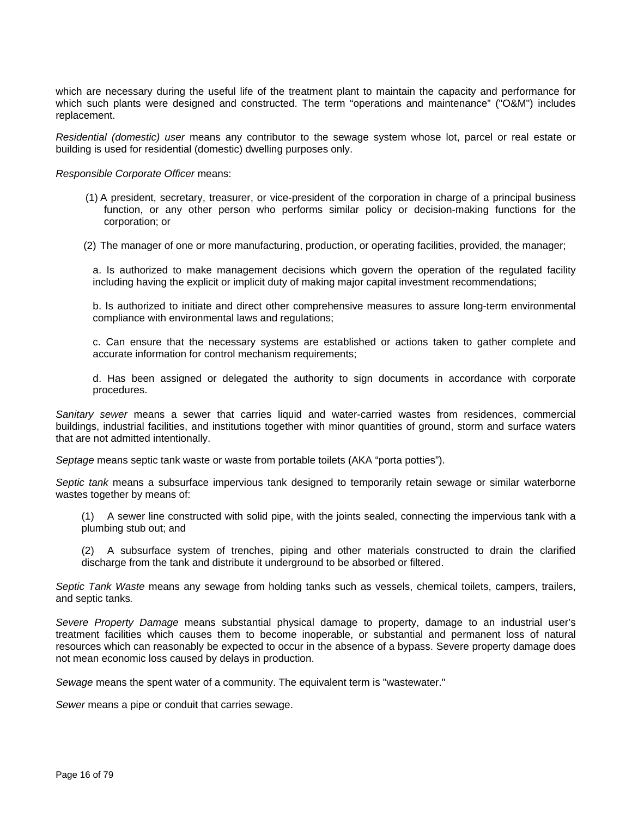which are necessary during the useful life of the treatment plant to maintain the capacity and performance for which such plants were designed and constructed. The term "operations and maintenance" ("O&M") includes replacement.

*Residential (domestic) user* means any contributor to the sewage system whose lot, parcel or real estate or building is used for residential (domestic) dwelling purposes only.

*Responsible Corporate Officer* means:

- (1) A president, secretary, treasurer, or vice-president of the corporation in charge of a principal business function, or any other person who performs similar policy or decision-making functions for the corporation; or
- (2) The manager of one or more manufacturing, production, or operating facilities, provided, the manager;

a. Is authorized to make management decisions which govern the operation of the regulated facility including having the explicit or implicit duty of making major capital investment recommendations;

b. Is authorized to initiate and direct other comprehensive measures to assure long-term environmental compliance with environmental laws and regulations;

c. Can ensure that the necessary systems are established or actions taken to gather complete and accurate information for control mechanism requirements;

d. Has been assigned or delegated the authority to sign documents in accordance with corporate procedures.

*Sanitary sewer* means a sewer that carries liquid and water-carried wastes from residences, commercial buildings, industrial facilities, and institutions together with minor quantities of ground, storm and surface waters that are not admitted intentionally.

*Septage* means septic tank waste or waste from portable toilets (AKA "porta potties").

*Septic tank* means a subsurface impervious tank designed to temporarily retain sewage or similar waterborne wastes together by means of:

(1) A sewer line constructed with solid pipe, with the joints sealed, connecting the impervious tank with a plumbing stub out; and

(2) A subsurface system of trenches, piping and other materials constructed to drain the clarified discharge from the tank and distribute it underground to be absorbed or filtered.

*Septic Tank Waste* means any sewage from holding tanks such as vessels, chemical toilets, campers, trailers, and septic tanks*.*

*Severe Property Damage* means substantial physical damage to property, damage to an industrial user's treatment facilities which causes them to become inoperable, or substantial and permanent loss of natural resources which can reasonably be expected to occur in the absence of a bypass. Severe property damage does not mean economic loss caused by delays in production.

*Sewage* means the spent water of a community. The equivalent term is "wastewater."

*Sewer* means a pipe or conduit that carries sewage.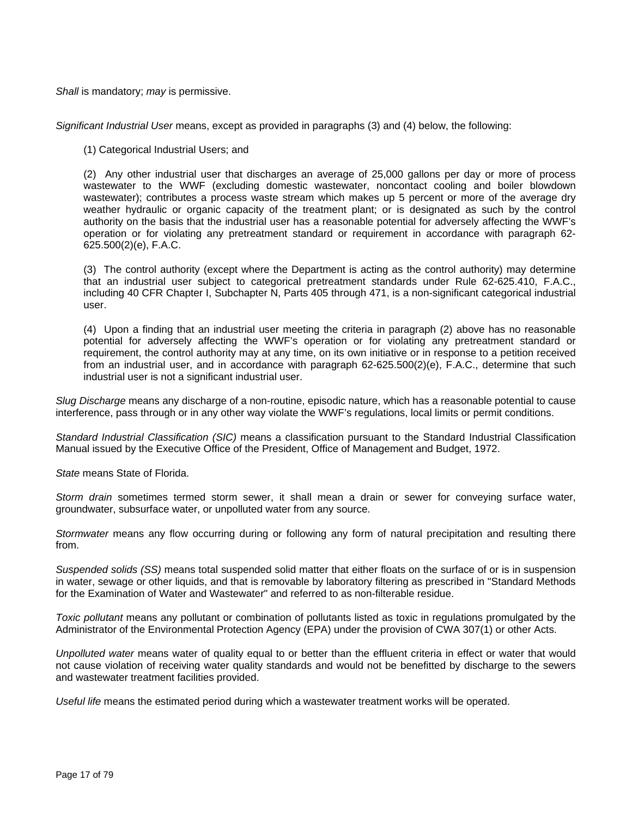*Shall* is mandatory; *may* is permissive.

*Significant Industrial User* means, except as provided in paragraphs (3) and (4) below, the following:

(1) Categorical Industrial Users; and

(2) Any other industrial user that discharges an average of 25,000 gallons per day or more of process wastewater to the WWF (excluding domestic wastewater, noncontact cooling and boiler blowdown wastewater); contributes a process waste stream which makes up 5 percent or more of the average dry weather hydraulic or organic capacity of the treatment plant; or is designated as such by the control authority on the basis that the industrial user has a reasonable potential for adversely affecting the WWF's operation or for violating any pretreatment standard or requirement in accordance with paragraph 62- 625.500(2)(e), F.A.C.

(3) The control authority (except where the Department is acting as the control authority) may determine that an industrial user subject to categorical pretreatment standards under Rule 62-625.410, F.A.C., including 40 CFR Chapter I, Subchapter N, Parts 405 through 471, is a non-significant categorical industrial user.

(4) Upon a finding that an industrial user meeting the criteria in paragraph (2) above has no reasonable potential for adversely affecting the WWF's operation or for violating any pretreatment standard or requirement, the control authority may at any time, on its own initiative or in response to a petition received from an industrial user, and in accordance with paragraph 62-625.500(2)(e), F.A.C., determine that such industrial user is not a significant industrial user.

*Slug Discharge* means any discharge of a non-routine, episodic nature, which has a reasonable potential to cause interference, pass through or in any other way violate the WWF's regulations, local limits or permit conditions.

*Standard Industrial Classification (SIC)* means a classification pursuant to the Standard Industrial Classification Manual issued by the Executive Office of the President, Office of Management and Budget, 1972.

*State* means State of Florida.

*Storm drain* sometimes termed storm sewer, it shall mean a drain or sewer for conveying surface water, groundwater, subsurface water, or unpolluted water from any source.

*Stormwater* means any flow occurring during or following any form of natural precipitation and resulting there from.

*Suspended solids (SS)* means total suspended solid matter that either floats on the surface of or is in suspension in water, sewage or other liquids, and that is removable by laboratory filtering as prescribed in "Standard Methods for the Examination of Water and Wastewater" and referred to as non-filterable residue.

*Toxic pollutant* means any pollutant or combination of pollutants listed as toxic in regulations promulgated by the Administrator of the Environmental Protection Agency (EPA) under the provision of CWA 307(1) or other Acts.

*Unpolluted water* means water of quality equal to or better than the effluent criteria in effect or water that would not cause violation of receiving water quality standards and would not be benefitted by discharge to the sewers and wastewater treatment facilities provided.

*Useful life* means the estimated period during which a wastewater treatment works will be operated.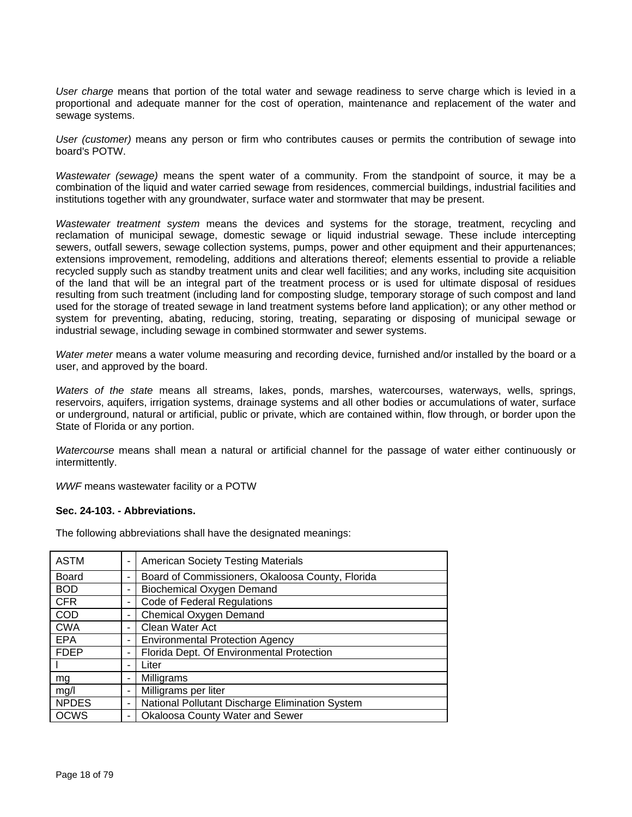*User charge* means that portion of the total water and sewage readiness to serve charge which is levied in a proportional and adequate manner for the cost of operation, maintenance and replacement of the water and sewage systems.

*User (customer)* means any person or firm who contributes causes or permits the contribution of sewage into board's POTW.

*Wastewater (sewage)* means the spent water of a community. From the standpoint of source, it may be a combination of the liquid and water carried sewage from residences, commercial buildings, industrial facilities and institutions together with any groundwater, surface water and stormwater that may be present.

*Wastewater treatment system* means the devices and systems for the storage, treatment, recycling and reclamation of municipal sewage, domestic sewage or liquid industrial sewage. These include intercepting sewers, outfall sewers, sewage collection systems, pumps, power and other equipment and their appurtenances; extensions improvement, remodeling, additions and alterations thereof; elements essential to provide a reliable recycled supply such as standby treatment units and clear well facilities; and any works, including site acquisition of the land that will be an integral part of the treatment process or is used for ultimate disposal of residues resulting from such treatment (including land for composting sludge, temporary storage of such compost and land used for the storage of treated sewage in land treatment systems before land application); or any other method or system for preventing, abating, reducing, storing, treating, separating or disposing of municipal sewage or industrial sewage, including sewage in combined stormwater and sewer systems.

*Water meter* means a water volume measuring and recording device, furnished and/or installed by the board or a user, and approved by the board.

*Waters of the state* means all streams, lakes, ponds, marshes, watercourses, waterways, wells, springs, reservoirs, aquifers, irrigation systems, drainage systems and all other bodies or accumulations of water, surface or underground, natural or artificial, public or private, which are contained within, flow through, or border upon the State of Florida or any portion.

*Watercourse* means shall mean a natural or artificial channel for the passage of water either continuously or intermittently.

*WWF* means wastewater facility or a POTW

#### **Sec. 24-103. - Abbreviations.**

| <b>ASTM</b>  |   | <b>American Society Testing Materials</b>        |
|--------------|---|--------------------------------------------------|
| <b>Board</b> | - | Board of Commissioners, Okaloosa County, Florida |
| <b>BOD</b>   |   | Biochemical Oxygen Demand                        |
| <b>CFR</b>   |   | <b>Code of Federal Regulations</b>               |
| <b>COD</b>   |   | Chemical Oxygen Demand                           |
| <b>CWA</b>   |   | Clean Water Act                                  |
| <b>EPA</b>   |   | <b>Environmental Protection Agency</b>           |
| <b>FDEP</b>  |   | Florida Dept. Of Environmental Protection        |
|              |   | Liter                                            |
| mg           |   | Milligrams                                       |
| mg/l         |   | Milligrams per liter                             |
| <b>NPDES</b> |   | National Pollutant Discharge Elimination System  |
| <b>OCWS</b>  |   | <b>Okaloosa County Water and Sewer</b>           |

The following abbreviations shall have the designated meanings: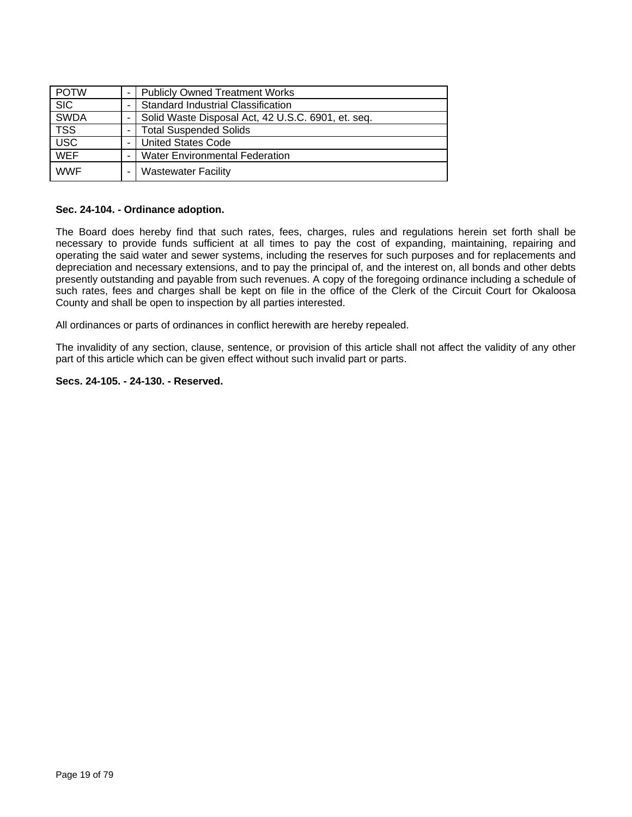| <b>POTW</b> | <b>Publicly Owned Treatment Works</b>              |
|-------------|----------------------------------------------------|
| <b>SIC</b>  | Standard Industrial Classification                 |
| <b>SWDA</b> | Solid Waste Disposal Act, 42 U.S.C. 6901, et. seq. |
| <b>TSS</b>  | <b>Total Suspended Solids</b>                      |
| <b>USC</b>  | <b>United States Code</b>                          |
| <b>WEF</b>  | <b>Water Environmental Federation</b>              |
| <b>WWF</b>  | <b>Wastewater Facility</b>                         |

#### **Sec. 24-104. - Ordinance adoption.**

The Board does hereby find that such rates, fees, charges, rules and regulations herein set forth shall be necessary to provide funds sufficient at all times to pay the cost of expanding, maintaining, repairing and operating the said water and sewer systems, including the reserves for such purposes and for replacements and depreciation and necessary extensions, and to pay the principal of, and the interest on, all bonds and other debts presently outstanding and payable from such revenues. A copy of the foregoing ordinance including a schedule of such rates, fees and charges shall be kept on file in the office of the Clerk of the Circuit Court for Okaloosa County and shall be open to inspection by all parties interested.

All ordinances or parts of ordinances in conflict herewith are hereby repealed.

The invalidity of any section, clause, sentence, or provision of this article shall not affect the validity of any other part of this article which can be given effect without such invalid part or parts.

#### **Secs. 24-105. - 24-130. - Reserved.**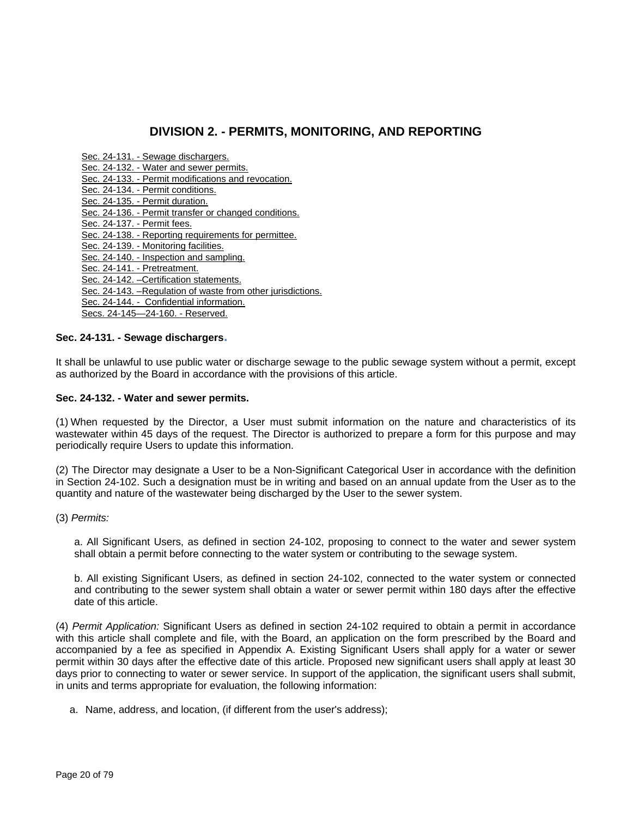## **DIVISION 2. - PERMITS, MONITORING, AND REPORTING**

- Sec. 24-131. Sewage dischargers.
- Sec. 24-132. Water and sewer permits.
- Sec. 24-133. Permit modifications and revocation.
- Sec. 24-134. Permit conditions.
- Sec. 24-135. Permit duration.
- Sec. 24-136. Permit transfer or changed conditions.
- Sec. 24-137. Permit fees.
- Sec. 24-138. Reporting requirements for permittee.
- Sec. 24-139. Monitoring facilities.
- Sec. 24-140. Inspection and sampling.
- Sec. 24-141. Pretreatment.
- Sec. 24-142. –Certification statements.
- Sec. 24-143. –Regulation of waste from other jurisdictions.
- Sec. 24-144. Confidential information.
- Secs. 24-145—24-160. Reserved.

## **Sec. 24-131. - Sewage dischargers.**

It shall be unlawful to use public water or discharge sewage to the public sewage system without a permit, except as authorized by the Board in accordance with the provisions of this article.

## **Sec. 24-132. - Water and sewer permits.**

(1) When requested by the Director, a User must submit information on the nature and characteristics of its wastewater within 45 days of the request. The Director is authorized to prepare a form for this purpose and may periodically require Users to update this information.

(2) The Director may designate a User to be a Non-Significant Categorical User in accordance with the definition in Section 24-102. Such a designation must be in writing and based on an annual update from the User as to the quantity and nature of the wastewater being discharged by the User to the sewer system.

(3) *Permits:*

a. All Significant Users, as defined in section 24-102, proposing to connect to the water and sewer system shall obtain a permit before connecting to the water system or contributing to the sewage system.

b. All existing Significant Users, as defined in section 24-102, connected to the water system or connected and contributing to the sewer system shall obtain a water or sewer permit within 180 days after the effective date of this article.

(4) *Permit Application:* Significant Users as defined in section 24-102 required to obtain a permit in accordance with this article shall complete and file, with the Board, an application on the form prescribed by the Board and accompanied by a fee as specified in Appendix A. Existing Significant Users shall apply for a water or sewer permit within 30 days after the effective date of this article. Proposed new significant users shall apply at least 30 days prior to connecting to water or sewer service. In support of the application, the significant users shall submit, in units and terms appropriate for evaluation, the following information:

a. Name, address, and location, (if different from the user's address);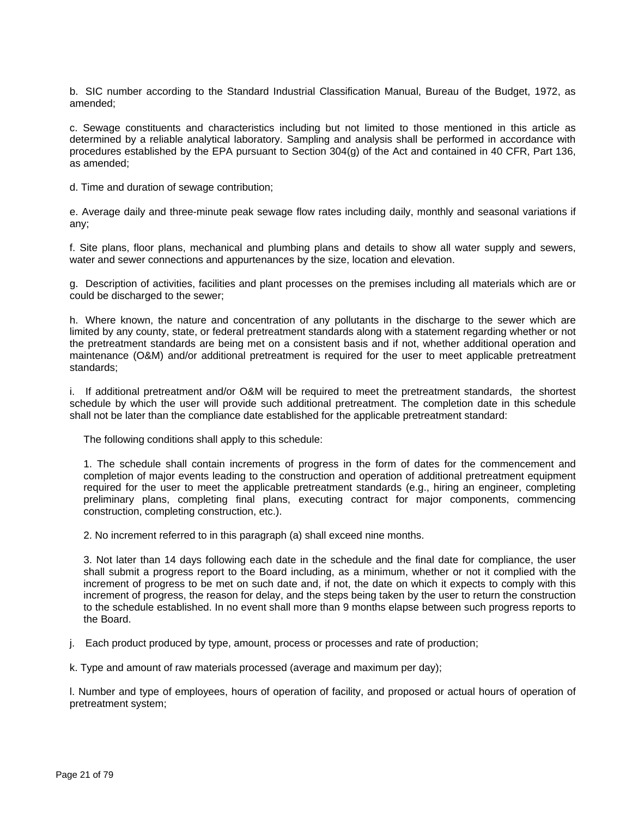b. SIC number according to the Standard Industrial Classification Manual, Bureau of the Budget, 1972, as amended;

c. Sewage constituents and characteristics including but not limited to those mentioned in this article as determined by a reliable analytical laboratory. Sampling and analysis shall be performed in accordance with procedures established by the EPA pursuant to Section 304(g) of the Act and contained in 40 CFR, Part 136, as amended;

d. Time and duration of sewage contribution;

e. Average daily and three-minute peak sewage flow rates including daily, monthly and seasonal variations if any;

f. Site plans, floor plans, mechanical and plumbing plans and details to show all water supply and sewers, water and sewer connections and appurtenances by the size, location and elevation.

g. Description of activities, facilities and plant processes on the premises including all materials which are or could be discharged to the sewer;

h. Where known, the nature and concentration of any pollutants in the discharge to the sewer which are limited by any county, state, or federal pretreatment standards along with a statement regarding whether or not the pretreatment standards are being met on a consistent basis and if not, whether additional operation and maintenance (O&M) and/or additional pretreatment is required for the user to meet applicable pretreatment standards;

i. If additional pretreatment and/or O&M will be required to meet the pretreatment standards, the shortest schedule by which the user will provide such additional pretreatment. The completion date in this schedule shall not be later than the compliance date established for the applicable pretreatment standard:

The following conditions shall apply to this schedule:

1. The schedule shall contain increments of progress in the form of dates for the commencement and completion of major events leading to the construction and operation of additional pretreatment equipment required for the user to meet the applicable pretreatment standards (e.g., hiring an engineer, completing preliminary plans, completing final plans, executing contract for major components, commencing construction, completing construction, etc.).

2. No increment referred to in this paragraph (a) shall exceed nine months.

3. Not later than 14 days following each date in the schedule and the final date for compliance, the user shall submit a progress report to the Board including, as a minimum, whether or not it complied with the increment of progress to be met on such date and, if not, the date on which it expects to comply with this increment of progress, the reason for delay, and the steps being taken by the user to return the construction to the schedule established. In no event shall more than 9 months elapse between such progress reports to the Board.

j. Each product produced by type, amount, process or processes and rate of production;

k. Type and amount of raw materials processed (average and maximum per day);

l. Number and type of employees, hours of operation of facility, and proposed or actual hours of operation of pretreatment system;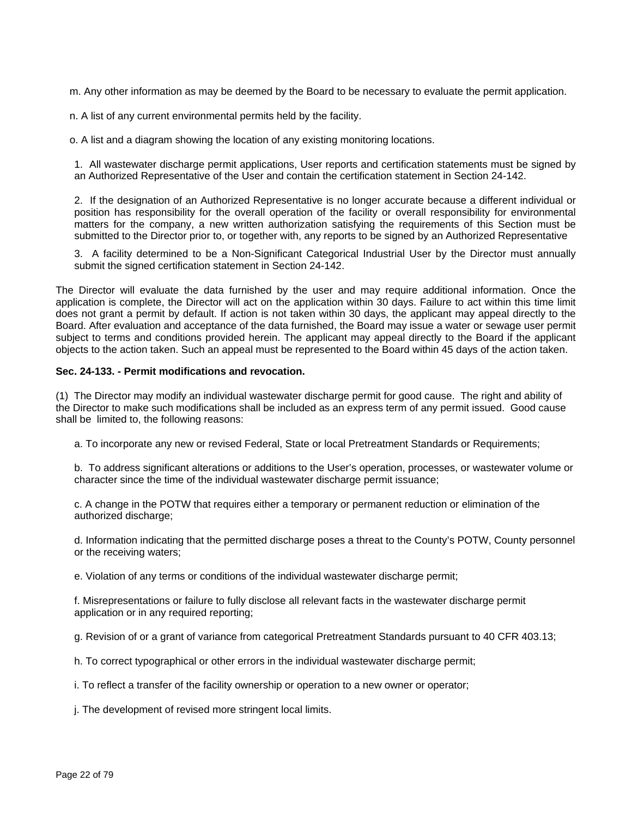m. Any other information as may be deemed by the Board to be necessary to evaluate the permit application.

n. A list of any current environmental permits held by the facility.

o. A list and a diagram showing the location of any existing monitoring locations.

1. All wastewater discharge permit applications, User reports and certification statements must be signed by an Authorized Representative of the User and contain the certification statement in Section 24-142.

2. If the designation of an Authorized Representative is no longer accurate because a different individual or position has responsibility for the overall operation of the facility or overall responsibility for environmental matters for the company, a new written authorization satisfying the requirements of this Section must be submitted to the Director prior to, or together with, any reports to be signed by an Authorized Representative

3. A facility determined to be a Non-Significant Categorical Industrial User by the Director must annually submit the signed certification statement in Section 24-142.

The Director will evaluate the data furnished by the user and may require additional information. Once the application is complete, the Director will act on the application within 30 days. Failure to act within this time limit does not grant a permit by default. If action is not taken within 30 days, the applicant may appeal directly to the Board. After evaluation and acceptance of the data furnished, the Board may issue a water or sewage user permit subject to terms and conditions provided herein. The applicant may appeal directly to the Board if the applicant objects to the action taken. Such an appeal must be represented to the Board within 45 days of the action taken.

#### **Sec. 24-133. - Permit modifications and revocation.**

(1) The Director may modify an individual wastewater discharge permit for good cause. The right and ability of the Director to make such modifications shall be included as an express term of any permit issued. Good cause shall be limited to, the following reasons:

a. To incorporate any new or revised Federal, State or local Pretreatment Standards or Requirements;

b. To address significant alterations or additions to the User's operation, processes, or wastewater volume or character since the time of the individual wastewater discharge permit issuance;

c. A change in the POTW that requires either a temporary or permanent reduction or elimination of the authorized discharge;

d. Information indicating that the permitted discharge poses a threat to the County's POTW, County personnel or the receiving waters;

e. Violation of any terms or conditions of the individual wastewater discharge permit;

f. Misrepresentations or failure to fully disclose all relevant facts in the wastewater discharge permit application or in any required reporting;

g. Revision of or a grant of variance from categorical Pretreatment Standards pursuant to 40 CFR 403.13;

h. To correct typographical or other errors in the individual wastewater discharge permit;

i. To reflect a transfer of the facility ownership or operation to a new owner or operator;

j. The development of revised more stringent local limits.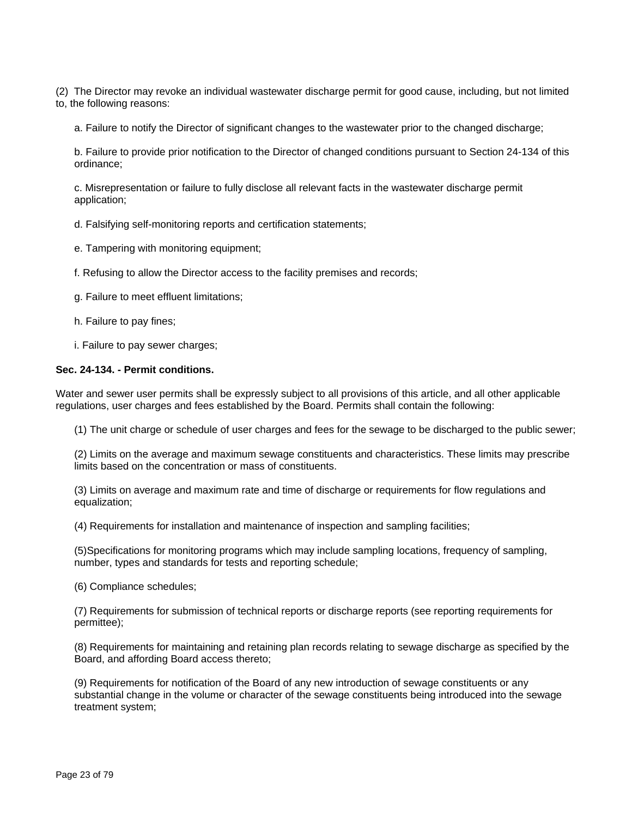(2) The Director may revoke an individual wastewater discharge permit for good cause, including, but not limited to, the following reasons:

a. Failure to notify the Director of significant changes to the wastewater prior to the changed discharge;

b. Failure to provide prior notification to the Director of changed conditions pursuant to Section 24-134 of this ordinance;

c. Misrepresentation or failure to fully disclose all relevant facts in the wastewater discharge permit application;

d. Falsifying self-monitoring reports and certification statements;

e. Tampering with monitoring equipment;

f. Refusing to allow the Director access to the facility premises and records;

g. Failure to meet effluent limitations;

h. Failure to pay fines;

i. Failure to pay sewer charges;

#### **Sec. 24-134. - Permit conditions.**

Water and sewer user permits shall be expressly subject to all provisions of this article, and all other applicable regulations, user charges and fees established by the Board. Permits shall contain the following:

(1) The unit charge or schedule of user charges and fees for the sewage to be discharged to the public sewer;

(2) Limits on the average and maximum sewage constituents and characteristics. These limits may prescribe limits based on the concentration or mass of constituents.

(3) Limits on average and maximum rate and time of discharge or requirements for flow regulations and equalization;

(4) Requirements for installation and maintenance of inspection and sampling facilities;

(5)Specifications for monitoring programs which may include sampling locations, frequency of sampling, number, types and standards for tests and reporting schedule;

(6) Compliance schedules;

(7) Requirements for submission of technical reports or discharge reports (see reporting requirements for permittee);

(8) Requirements for maintaining and retaining plan records relating to sewage discharge as specified by the Board, and affording Board access thereto;

(9) Requirements for notification of the Board of any new introduction of sewage constituents or any substantial change in the volume or character of the sewage constituents being introduced into the sewage treatment system;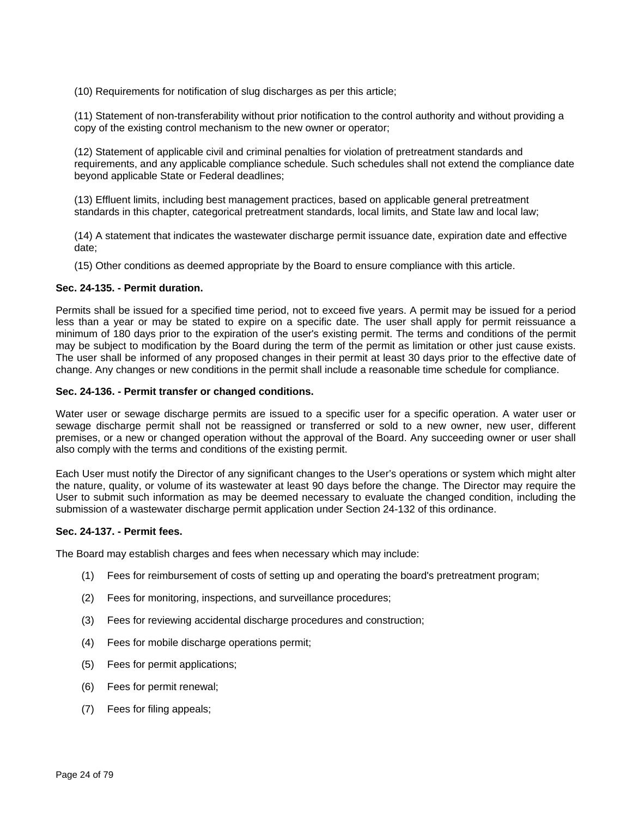(10) Requirements for notification of slug discharges as per this article;

(11) Statement of non-transferability without prior notification to the control authority and without providing a copy of the existing control mechanism to the new owner or operator;

(12) Statement of applicable civil and criminal penalties for violation of pretreatment standards and requirements, and any applicable compliance schedule. Such schedules shall not extend the compliance date beyond applicable State or Federal deadlines;

(13) Effluent limits, including best management practices, based on applicable general pretreatment standards in this chapter, categorical pretreatment standards, local limits, and State law and local law;

(14) A statement that indicates the wastewater discharge permit issuance date, expiration date and effective date;

(15) Other conditions as deemed appropriate by the Board to ensure compliance with this article.

#### **Sec. 24-135. - Permit duration.**

Permits shall be issued for a specified time period, not to exceed five years. A permit may be issued for a period less than a year or may be stated to expire on a specific date. The user shall apply for permit reissuance a minimum of 180 days prior to the expiration of the user's existing permit. The terms and conditions of the permit may be subject to modification by the Board during the term of the permit as limitation or other just cause exists. The user shall be informed of any proposed changes in their permit at least 30 days prior to the effective date of change. Any changes or new conditions in the permit shall include a reasonable time schedule for compliance.

#### **Sec. 24-136. - Permit transfer or changed conditions.**

Water user or sewage discharge permits are issued to a specific user for a specific operation. A water user or sewage discharge permit shall not be reassigned or transferred or sold to a new owner, new user, different premises, or a new or changed operation without the approval of the Board. Any succeeding owner or user shall also comply with the terms and conditions of the existing permit.

Each User must notify the Director of any significant changes to the User's operations or system which might alter the nature, quality, or volume of its wastewater at least 90 days before the change. The Director may require the User to submit such information as may be deemed necessary to evaluate the changed condition, including the submission of a wastewater discharge permit application under Section 24-132 of this ordinance.

#### **Sec. 24-137. - Permit fees.**

The Board may establish charges and fees when necessary which may include:

- (1) Fees for reimbursement of costs of setting up and operating the board's pretreatment program;
- (2) Fees for monitoring, inspections, and surveillance procedures;
- (3) Fees for reviewing accidental discharge procedures and construction;
- (4) Fees for mobile discharge operations permit;
- (5) Fees for permit applications;
- (6) Fees for permit renewal;
- (7) Fees for filing appeals;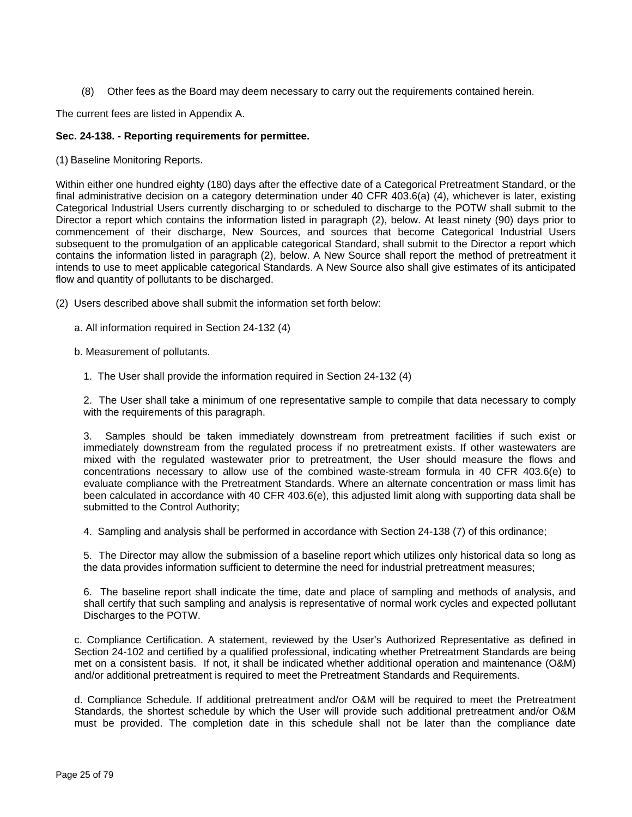(8) Other fees as the Board may deem necessary to carry out the requirements contained herein.

The current fees are listed in Appendix A.

#### **Sec. 24-138. - Reporting requirements for permittee.**

(1) Baseline Monitoring Reports.

Within either one hundred eighty (180) days after the effective date of a Categorical Pretreatment Standard, or the final administrative decision on a category determination under 40 CFR 403.6(a) (4), whichever is later, existing Categorical Industrial Users currently discharging to or scheduled to discharge to the POTW shall submit to the Director a report which contains the information listed in paragraph (2), below. At least ninety (90) days prior to commencement of their discharge, New Sources, and sources that become Categorical Industrial Users subsequent to the promulgation of an applicable categorical Standard, shall submit to the Director a report which contains the information listed in paragraph (2), below. A New Source shall report the method of pretreatment it intends to use to meet applicable categorical Standards. A New Source also shall give estimates of its anticipated flow and quantity of pollutants to be discharged.

- (2) Users described above shall submit the information set forth below:
	- a. All information required in Section 24-132 (4)
	- b. Measurement of pollutants.
		- 1. The User shall provide the information required in Section 24-132 (4)

The User shall take a minimum of one representative sample to compile that data necessary to comply with the requirements of this paragraph.

3. Samples should be taken immediately downstream from pretreatment facilities if such exist or immediately downstream from the regulated process if no pretreatment exists. If other wastewaters are mixed with the regulated wastewater prior to pretreatment, the User should measure the flows and concentrations necessary to allow use of the combined waste-stream formula in 40 CFR 403.6(e) to evaluate compliance with the Pretreatment Standards. Where an alternate concentration or mass limit has been calculated in accordance with 40 CFR 403.6(e), this adjusted limit along with supporting data shall be submitted to the Control Authority:

4. Sampling and analysis shall be performed in accordance with Section 24-138 (7) of this ordinance;

5. The Director may allow the submission of a baseline report which utilizes only historical data so long as the data provides information sufficient to determine the need for industrial pretreatment measures;

6. The baseline report shall indicate the time, date and place of sampling and methods of analysis, and shall certify that such sampling and analysis is representative of normal work cycles and expected pollutant Discharges to the POTW.

c. Compliance Certification. A statement, reviewed by the User's Authorized Representative as defined in Section 24-102 and certified by a qualified professional, indicating whether Pretreatment Standards are being met on a consistent basis. If not, it shall be indicated whether additional operation and maintenance (O&M) and/or additional pretreatment is required to meet the Pretreatment Standards and Requirements.

d. Compliance Schedule. If additional pretreatment and/or O&M will be required to meet the Pretreatment Standards, the shortest schedule by which the User will provide such additional pretreatment and/or O&M must be provided. The completion date in this schedule shall not be later than the compliance date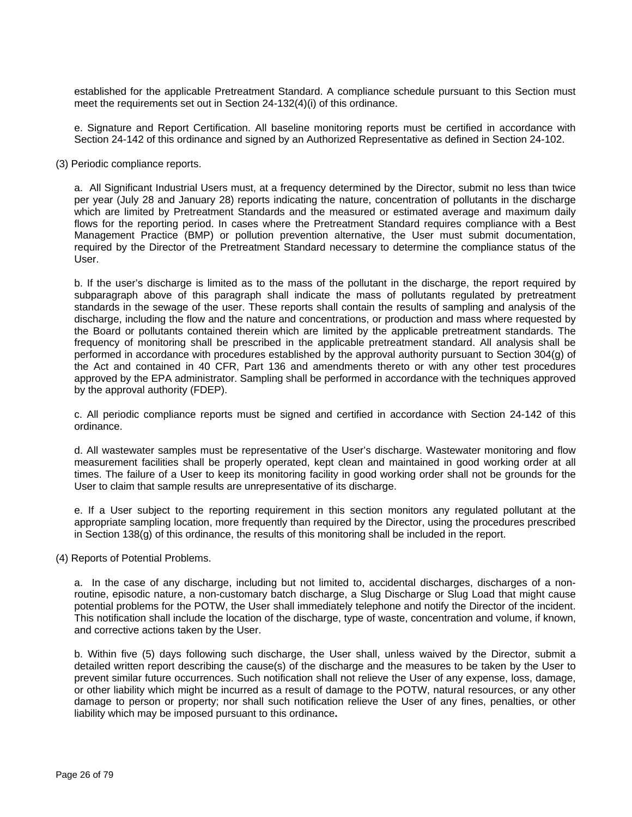established for the applicable Pretreatment Standard. A compliance schedule pursuant to this Section must meet the requirements set out in Section 24-132(4)(i) of this ordinance.

e. Signature and Report Certification. All baseline monitoring reports must be certified in accordance with Section 24-142 of this ordinance and signed by an Authorized Representative as defined in Section 24-102.

(3) Periodic compliance reports.

a. All Significant Industrial Users must, at a frequency determined by the Director, submit no less than twice per year (July 28 and January 28) reports indicating the nature, concentration of pollutants in the discharge which are limited by Pretreatment Standards and the measured or estimated average and maximum daily flows for the reporting period. In cases where the Pretreatment Standard requires compliance with a Best Management Practice (BMP) or pollution prevention alternative, the User must submit documentation, required by the Director of the Pretreatment Standard necessary to determine the compliance status of the User.

b. If the user's discharge is limited as to the mass of the pollutant in the discharge, the report required by subparagraph above of this paragraph shall indicate the mass of pollutants regulated by pretreatment standards in the sewage of the user. These reports shall contain the results of sampling and analysis of the discharge, including the flow and the nature and concentrations, or production and mass where requested by the Board or pollutants contained therein which are limited by the applicable pretreatment standards. The frequency of monitoring shall be prescribed in the applicable pretreatment standard. All analysis shall be performed in accordance with procedures established by the approval authority pursuant to Section 304(g) of the Act and contained in 40 CFR, Part 136 and amendments thereto or with any other test procedures approved by the EPA administrator. Sampling shall be performed in accordance with the techniques approved by the approval authority (FDEP).

c. All periodic compliance reports must be signed and certified in accordance with Section 24-142 of this ordinance.

d. All wastewater samples must be representative of the User's discharge. Wastewater monitoring and flow measurement facilities shall be properly operated, kept clean and maintained in good working order at all times. The failure of a User to keep its monitoring facility in good working order shall not be grounds for the User to claim that sample results are unrepresentative of its discharge.

e. If a User subject to the reporting requirement in this section monitors any regulated pollutant at the appropriate sampling location, more frequently than required by the Director, using the procedures prescribed in Section 138(g) of this ordinance, the results of this monitoring shall be included in the report.

(4) Reports of Potential Problems.

a. In the case of any discharge, including but not limited to, accidental discharges, discharges of a nonroutine, episodic nature, a non-customary batch discharge, a Slug Discharge or Slug Load that might cause potential problems for the POTW, the User shall immediately telephone and notify the Director of the incident. This notification shall include the location of the discharge, type of waste, concentration and volume, if known, and corrective actions taken by the User.

b. Within five (5) days following such discharge, the User shall, unless waived by the Director, submit a detailed written report describing the cause(s) of the discharge and the measures to be taken by the User to prevent similar future occurrences. Such notification shall not relieve the User of any expense, loss, damage, or other liability which might be incurred as a result of damage to the POTW, natural resources, or any other damage to person or property; nor shall such notification relieve the User of any fines, penalties, or other liability which may be imposed pursuant to this ordinance**.**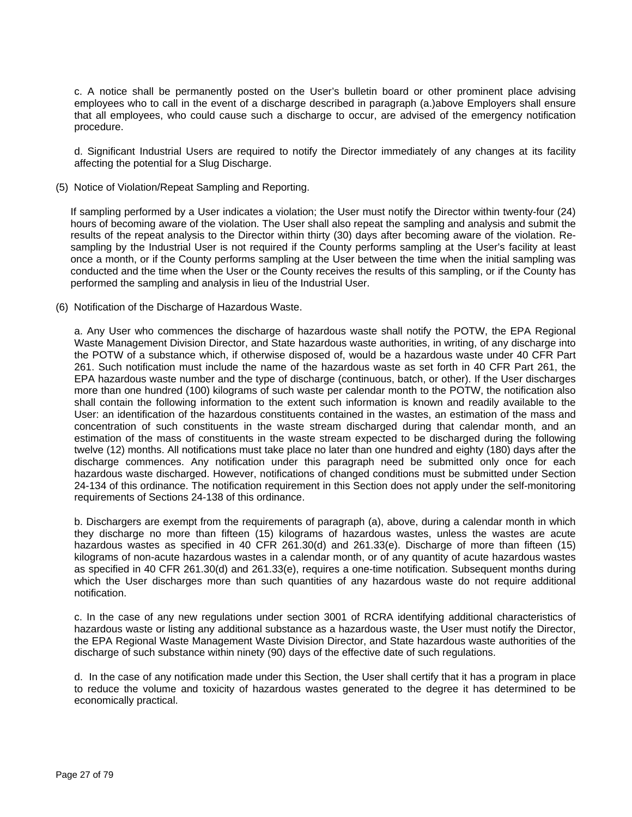c. A notice shall be permanently posted on the User's bulletin board or other prominent place advising employees who to call in the event of a discharge described in paragraph (a.)above Employers shall ensure that all employees, who could cause such a discharge to occur, are advised of the emergency notification procedure.

d. Significant Industrial Users are required to notify the Director immediately of any changes at its facility affecting the potential for a Slug Discharge.

(5) Notice of Violation/Repeat Sampling and Reporting.

If sampling performed by a User indicates a violation; the User must notify the Director within twenty-four (24) hours of becoming aware of the violation. The User shall also repeat the sampling and analysis and submit the results of the repeat analysis to the Director within thirty (30) days after becoming aware of the violation. Resampling by the Industrial User is not required if the County performs sampling at the User's facility at least once a month, or if the County performs sampling at the User between the time when the initial sampling was conducted and the time when the User or the County receives the results of this sampling, or if the County has performed the sampling and analysis in lieu of the Industrial User.

(6) Notification of the Discharge of Hazardous Waste.

a. Any User who commences the discharge of hazardous waste shall notify the POTW, the EPA Regional Waste Management Division Director, and State hazardous waste authorities, in writing, of any discharge into the POTW of a substance which, if otherwise disposed of, would be a hazardous waste under 40 CFR Part 261. Such notification must include the name of the hazardous waste as set forth in 40 CFR Part 261, the EPA hazardous waste number and the type of discharge (continuous, batch, or other). If the User discharges more than one hundred (100) kilograms of such waste per calendar month to the POTW, the notification also shall contain the following information to the extent such information is known and readily available to the User: an identification of the hazardous constituents contained in the wastes, an estimation of the mass and concentration of such constituents in the waste stream discharged during that calendar month, and an estimation of the mass of constituents in the waste stream expected to be discharged during the following twelve (12) months. All notifications must take place no later than one hundred and eighty (180) days after the discharge commences. Any notification under this paragraph need be submitted only once for each hazardous waste discharged. However, notifications of changed conditions must be submitted under Section 24-134 of this ordinance. The notification requirement in this Section does not apply under the self-monitoring requirements of Sections 24-138 of this ordinance.

b. Dischargers are exempt from the requirements of paragraph (a), above, during a calendar month in which they discharge no more than fifteen (15) kilograms of hazardous wastes, unless the wastes are acute hazardous wastes as specified in 40 CFR 261.30(d) and 261.33(e). Discharge of more than fifteen (15) kilograms of non-acute hazardous wastes in a calendar month, or of any quantity of acute hazardous wastes as specified in 40 CFR 261.30(d) and 261.33(e), requires a one-time notification. Subsequent months during which the User discharges more than such quantities of any hazardous waste do not require additional notification.

c. In the case of any new regulations under section 3001 of RCRA identifying additional characteristics of hazardous waste or listing any additional substance as a hazardous waste, the User must notify the Director, the EPA Regional Waste Management Waste Division Director, and State hazardous waste authorities of the discharge of such substance within ninety (90) days of the effective date of such regulations.

d. In the case of any notification made under this Section, the User shall certify that it has a program in place to reduce the volume and toxicity of hazardous wastes generated to the degree it has determined to be economically practical.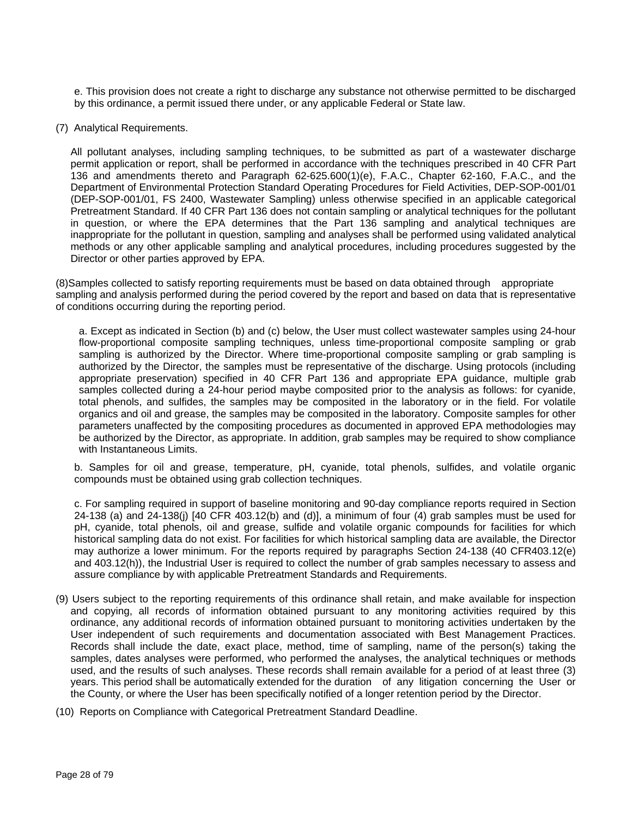e. This provision does not create a right to discharge any substance not otherwise permitted to be discharged by this ordinance, a permit issued there under, or any applicable Federal or State law.

(7) Analytical Requirements.

All pollutant analyses, including sampling techniques, to be submitted as part of a wastewater discharge permit application or report, shall be performed in accordance with the techniques prescribed in 40 CFR Part 136 and amendments thereto and Paragraph 62-625.600(1)(e), F.A.C., Chapter 62-160, F.A.C., and the Department of Environmental Protection Standard Operating Procedures for Field Activities, DEP-SOP-001/01 (DEP-SOP-001/01, FS 2400, Wastewater Sampling) unless otherwise specified in an applicable categorical Pretreatment Standard. If 40 CFR Part 136 does not contain sampling or analytical techniques for the pollutant in question, or where the EPA determines that the Part 136 sampling and analytical techniques are inappropriate for the pollutant in question, sampling and analyses shall be performed using validated analytical methods or any other applicable sampling and analytical procedures, including procedures suggested by the Director or other parties approved by EPA.

(8)Samples collected to satisfy reporting requirements must be based on data obtained through appropriate sampling and analysis performed during the period covered by the report and based on data that is representative of conditions occurring during the reporting period.

a. Except as indicated in Section (b) and (c) below, the User must collect wastewater samples using 24-hour flow-proportional composite sampling techniques, unless time-proportional composite sampling or grab sampling is authorized by the Director. Where time-proportional composite sampling or grab sampling is authorized by the Director, the samples must be representative of the discharge. Using protocols (including appropriate preservation) specified in 40 CFR Part 136 and appropriate EPA guidance, multiple grab samples collected during a 24-hour period maybe composited prior to the analysis as follows: for cyanide, total phenols, and sulfides, the samples may be composited in the laboratory or in the field. For volatile organics and oil and grease, the samples may be composited in the laboratory. Composite samples for other parameters unaffected by the compositing procedures as documented in approved EPA methodologies may be authorized by the Director, as appropriate. In addition, grab samples may be required to show compliance with Instantaneous Limits.

b. Samples for oil and grease, temperature, pH, cyanide, total phenols, sulfides, and volatile organic compounds must be obtained using grab collection techniques.

c. For sampling required in support of baseline monitoring and 90-day compliance reports required in Section 24-138 (a) and 24-138(j) [40 CFR 403.12(b) and (d)], a minimum of four (4) grab samples must be used for pH, cyanide, total phenols, oil and grease, sulfide and volatile organic compounds for facilities for which historical sampling data do not exist. For facilities for which historical sampling data are available, the Director may authorize a lower minimum. For the reports required by paragraphs Section 24-138 (40 CFR403.12(e) and 403.12(h)), the Industrial User is required to collect the number of grab samples necessary to assess and assure compliance by with applicable Pretreatment Standards and Requirements.

- (9) Users subject to the reporting requirements of this ordinance shall retain, and make available for inspection and copying, all records of information obtained pursuant to any monitoring activities required by this ordinance, any additional records of information obtained pursuant to monitoring activities undertaken by the User independent of such requirements and documentation associated with Best Management Practices. Records shall include the date, exact place, method, time of sampling, name of the person(s) taking the samples, dates analyses were performed, who performed the analyses, the analytical techniques or methods used, and the results of such analyses. These records shall remain available for a period of at least three (3) years. This period shall be automatically extended for the duration of any litigation concerning the User or the County, or where the User has been specifically notified of a longer retention period by the Director.
- (10) Reports on Compliance with Categorical Pretreatment Standard Deadline.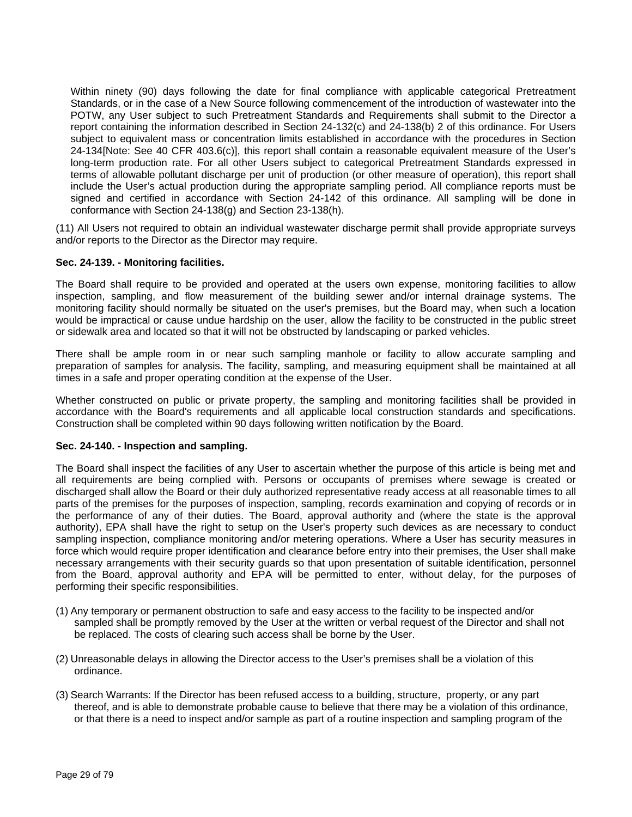Within ninety (90) days following the date for final compliance with applicable categorical Pretreatment Standards, or in the case of a New Source following commencement of the introduction of wastewater into the POTW, any User subject to such Pretreatment Standards and Requirements shall submit to the Director a report containing the information described in Section 24-132(c) and 24-138(b) 2 of this ordinance. For Users subject to equivalent mass or concentration limits established in accordance with the procedures in Section 24-134[Note: See 40 CFR 403.6(c)], this report shall contain a reasonable equivalent measure of the User's long-term production rate. For all other Users subject to categorical Pretreatment Standards expressed in terms of allowable pollutant discharge per unit of production (or other measure of operation), this report shall include the User's actual production during the appropriate sampling period. All compliance reports must be signed and certified in accordance with Section 24-142 of this ordinance. All sampling will be done in conformance with Section 24-138(g) and Section 23-138(h).

(11) All Users not required to obtain an individual wastewater discharge permit shall provide appropriate surveys and/or reports to the Director as the Director may require.

#### **Sec. 24-139. - Monitoring facilities.**

The Board shall require to be provided and operated at the users own expense, monitoring facilities to allow inspection, sampling, and flow measurement of the building sewer and/or internal drainage systems. The monitoring facility should normally be situated on the user's premises, but the Board may, when such a location would be impractical or cause undue hardship on the user, allow the facility to be constructed in the public street or sidewalk area and located so that it will not be obstructed by landscaping or parked vehicles.

There shall be ample room in or near such sampling manhole or facility to allow accurate sampling and preparation of samples for analysis. The facility, sampling, and measuring equipment shall be maintained at all times in a safe and proper operating condition at the expense of the User.

Whether constructed on public or private property, the sampling and monitoring facilities shall be provided in accordance with the Board's requirements and all applicable local construction standards and specifications. Construction shall be completed within 90 days following written notification by the Board.

#### **Sec. 24-140. - Inspection and sampling.**

The Board shall inspect the facilities of any User to ascertain whether the purpose of this article is being met and all requirements are being complied with. Persons or occupants of premises where sewage is created or discharged shall allow the Board or their duly authorized representative ready access at all reasonable times to all parts of the premises for the purposes of inspection, sampling, records examination and copying of records or in the performance of any of their duties. The Board, approval authority and (where the state is the approval authority), EPA shall have the right to setup on the User's property such devices as are necessary to conduct sampling inspection, compliance monitoring and/or metering operations. Where a User has security measures in force which would require proper identification and clearance before entry into their premises, the User shall make necessary arrangements with their security guards so that upon presentation of suitable identification, personnel from the Board, approval authority and EPA will be permitted to enter, without delay, for the purposes of performing their specific responsibilities.

- (1) Any temporary or permanent obstruction to safe and easy access to the facility to be inspected and/or sampled shall be promptly removed by the User at the written or verbal request of the Director and shall not be replaced. The costs of clearing such access shall be borne by the User.
- (2) Unreasonable delays in allowing the Director access to the User's premises shall be a violation of this ordinance.
- (3) Search Warrants: If the Director has been refused access to a building, structure, property, or any part thereof, and is able to demonstrate probable cause to believe that there may be a violation of this ordinance, or that there is a need to inspect and/or sample as part of a routine inspection and sampling program of the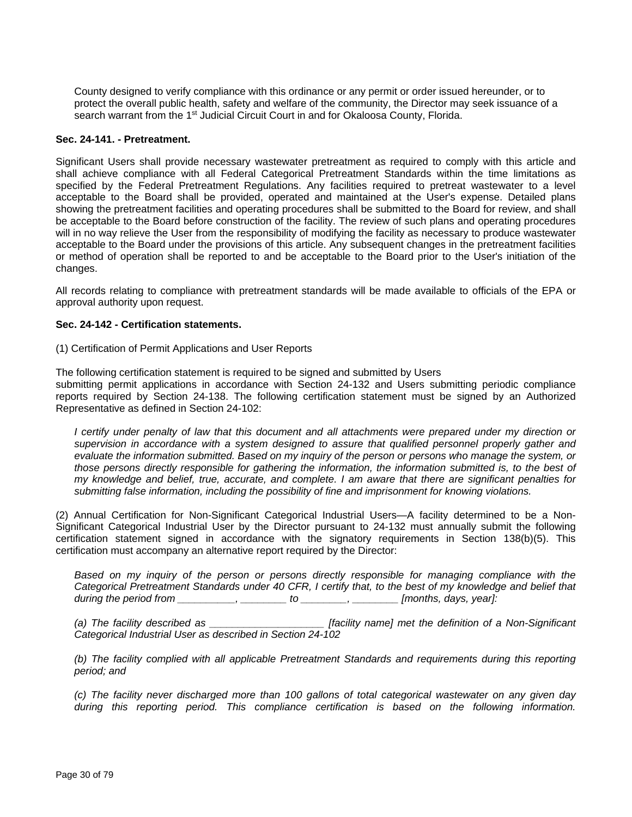County designed to verify compliance with this ordinance or any permit or order issued hereunder, or to protect the overall public health, safety and welfare of the community, the Director may seek issuance of a search warrant from the 1<sup>st</sup> Judicial Circuit Court in and for Okaloosa County, Florida.

#### **Sec. 24-141. - Pretreatment.**

Significant Users shall provide necessary wastewater pretreatment as required to comply with this article and shall achieve compliance with all Federal Categorical Pretreatment Standards within the time limitations as specified by the Federal Pretreatment Regulations. Any facilities required to pretreat wastewater to a level acceptable to the Board shall be provided, operated and maintained at the User's expense. Detailed plans showing the pretreatment facilities and operating procedures shall be submitted to the Board for review, and shall be acceptable to the Board before construction of the facility. The review of such plans and operating procedures will in no way relieve the User from the responsibility of modifying the facility as necessary to produce wastewater acceptable to the Board under the provisions of this article. Any subsequent changes in the pretreatment facilities or method of operation shall be reported to and be acceptable to the Board prior to the User's initiation of the changes.

All records relating to compliance with pretreatment standards will be made available to officials of the EPA or approval authority upon request.

#### **Sec. 24-142 - Certification statements.**

(1) Certification of Permit Applications and User Reports

The following certification statement is required to be signed and submitted by Users

submitting permit applications in accordance with Section 24-132 and Users submitting periodic compliance reports required by Section 24-138. The following certification statement must be signed by an Authorized Representative as defined in Section 24-102:

*I certify under penalty of law that this document and all attachments were prepared under my direction or supervision in accordance with a system designed to assure that qualified personnel properly gather and evaluate the information submitted. Based on my inquiry of the person or persons who manage the system, or those persons directly responsible for gathering the information, the information submitted is, to the best of my knowledge and belief, true, accurate, and complete. I am aware that there are significant penalties for submitting false information, including the possibility of fine and imprisonment for knowing violations.*

(2) Annual Certification for Non-Significant Categorical Industrial Users—A facility determined to be a Non-Significant Categorical Industrial User by the Director pursuant to 24-132 must annually submit the following certification statement signed in accordance with the signatory requirements in Section 138(b)(5). This certification must accompany an alternative report required by the Director:

*Based on my inquiry of the person or persons directly responsible for managing compliance with the Categorical Pretreatment Standards under 40 CFR, I certify that, to the best of my knowledge and belief that during the period from \_\_\_\_\_\_\_\_\_\_, \_\_\_\_\_\_\_\_ to \_\_\_\_\_\_\_\_, \_\_\_\_\_\_\_\_ [months, days, year]:*

*(a) The facility described as \_\_\_\_\_\_\_\_\_\_\_\_\_\_\_\_\_\_\_\_ [facility name] met the definition of a Non-Significant Categorical Industrial User as described in Section 24-102*

*(b) The facility complied with all applicable Pretreatment Standards and requirements during this reporting period; and*

*(c) The facility never discharged more than 100 gallons of total categorical wastewater on any given day during this reporting period. This compliance certification is based on the following information.*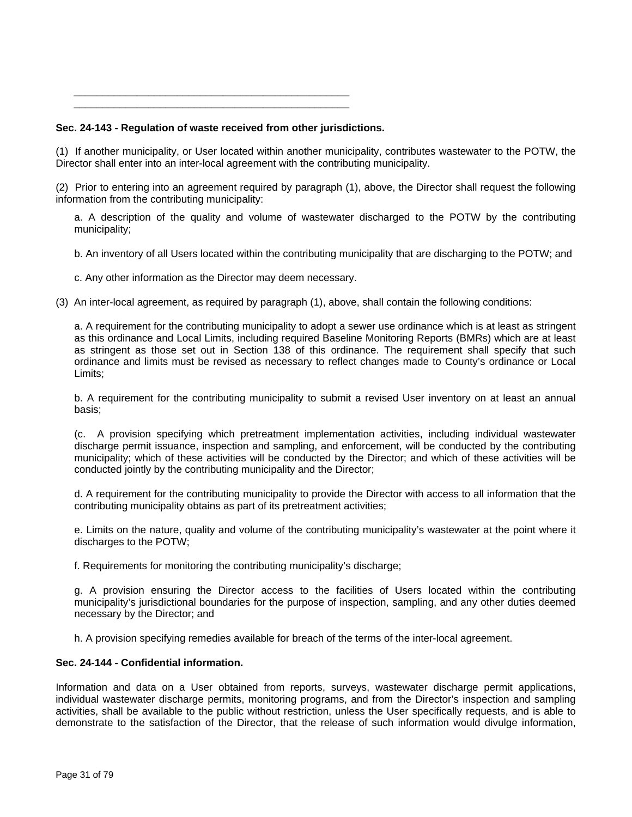*\_\_\_\_\_\_\_\_\_\_\_\_\_\_\_\_\_\_\_\_\_\_\_\_\_\_\_\_\_\_\_\_\_\_\_\_\_\_\_\_\_\_\_\_\_\_\_\_ \_\_\_\_\_\_\_\_\_\_\_\_\_\_\_\_\_\_\_\_\_\_\_\_\_\_\_\_\_\_\_\_\_\_\_\_\_\_\_\_\_\_\_\_\_\_\_\_*

## **Sec. 24-143 - Regulation of waste received from other jurisdictions.**

(1) If another municipality, or User located within another municipality, contributes wastewater to the POTW, the Director shall enter into an inter-local agreement with the contributing municipality.

(2) Prior to entering into an agreement required by paragraph (1), above, the Director shall request the following information from the contributing municipality:

a. A description of the quality and volume of wastewater discharged to the POTW by the contributing municipality;

b. An inventory of all Users located within the contributing municipality that are discharging to the POTW; and

c. Any other information as the Director may deem necessary.

(3) An inter-local agreement, as required by paragraph (1), above, shall contain the following conditions:

a. A requirement for the contributing municipality to adopt a sewer use ordinance which is at least as stringent as this ordinance and Local Limits, including required Baseline Monitoring Reports (BMRs) which are at least as stringent as those set out in Section 138 of this ordinance. The requirement shall specify that such ordinance and limits must be revised as necessary to reflect changes made to County's ordinance or Local Limits;

b. A requirement for the contributing municipality to submit a revised User inventory on at least an annual basis;

(c. A provision specifying which pretreatment implementation activities, including individual wastewater discharge permit issuance, inspection and sampling, and enforcement, will be conducted by the contributing municipality; which of these activities will be conducted by the Director; and which of these activities will be conducted jointly by the contributing municipality and the Director;

d. A requirement for the contributing municipality to provide the Director with access to all information that the contributing municipality obtains as part of its pretreatment activities;

e. Limits on the nature, quality and volume of the contributing municipality's wastewater at the point where it discharges to the POTW;

f. Requirements for monitoring the contributing municipality's discharge;

g. A provision ensuring the Director access to the facilities of Users located within the contributing municipality's jurisdictional boundaries for the purpose of inspection, sampling, and any other duties deemed necessary by the Director; and

h. A provision specifying remedies available for breach of the terms of the inter-local agreement.

## **Sec. 24-144 - Confidential information.**

Information and data on a User obtained from reports, surveys, wastewater discharge permit applications, individual wastewater discharge permits, monitoring programs, and from the Director's inspection and sampling activities, shall be available to the public without restriction, unless the User specifically requests, and is able to demonstrate to the satisfaction of the Director, that the release of such information would divulge information,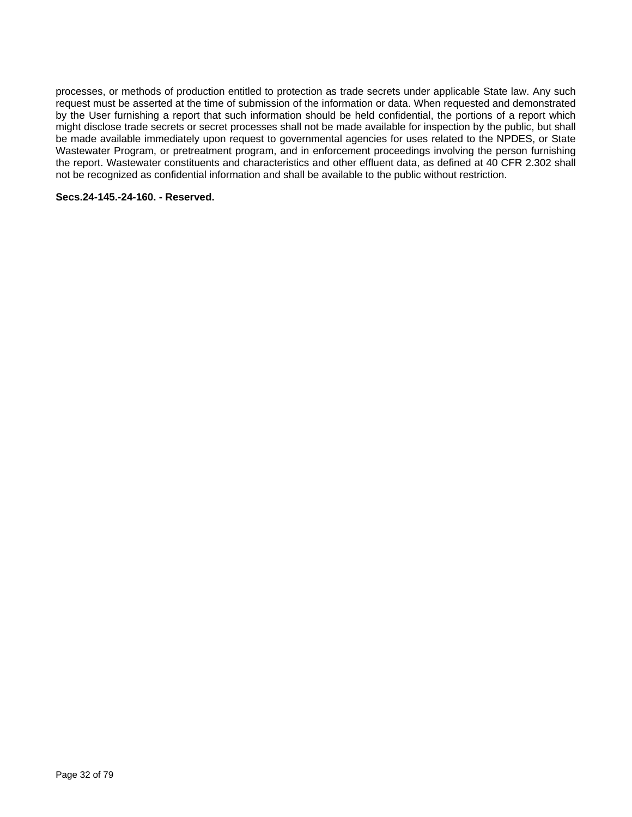processes, or methods of production entitled to protection as trade secrets under applicable State law. Any such request must be asserted at the time of submission of the information or data. When requested and demonstrated by the User furnishing a report that such information should be held confidential, the portions of a report which might disclose trade secrets or secret processes shall not be made available for inspection by the public, but shall be made available immediately upon request to governmental agencies for uses related to the NPDES, or State Wastewater Program, or pretreatment program, and in enforcement proceedings involving the person furnishing the report. Wastewater constituents and characteristics and other effluent data, as defined at 40 CFR 2.302 shall not be recognized as confidential information and shall be available to the public without restriction.

#### **Secs.24-145.-24-160. - Reserved.**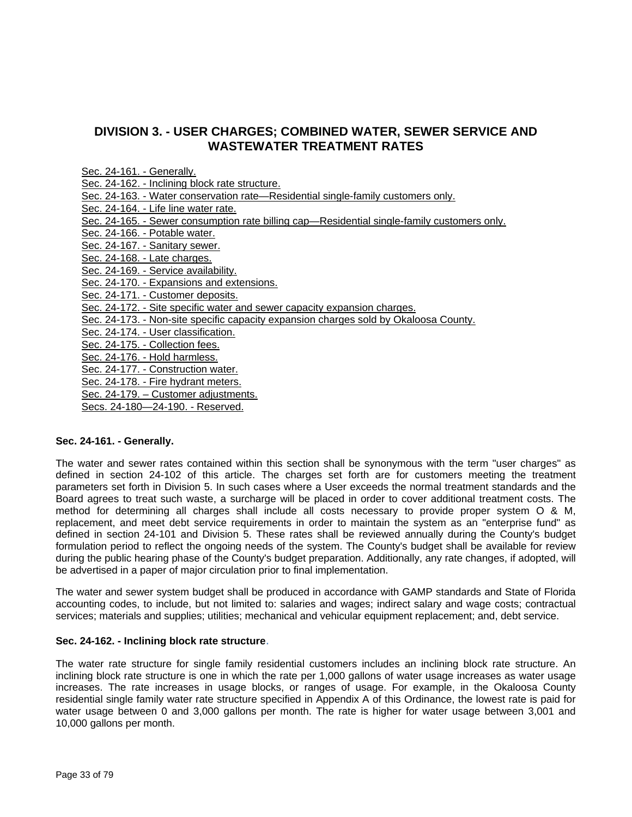## **DIVISION 3. - USER CHARGES; COMBINED WATER, SEWER SERVICE AND WASTEWATER TREATMENT RATES**

| Sec. 24-161. - Generally.                                                                   |
|---------------------------------------------------------------------------------------------|
| Sec. 24-162. - Inclining block rate structure.                                              |
| Sec. 24-163. - Water conservation rate—Residential single-family customers only.            |
| Sec. 24-164. - Life line water rate.                                                        |
| Sec. 24-165. - Sewer consumption rate billing cap—Residential single-family customers only. |
| Sec. 24-166. - Potable water.                                                               |
| Sec. 24-167. - Sanitary sewer.                                                              |
| Sec. 24-168. - Late charges.                                                                |
| Sec. 24-169. - Service availability.                                                        |
| Sec. 24-170. - Expansions and extensions.                                                   |
| Sec. 24-171. - Customer deposits.                                                           |
| Sec. 24-172. - Site specific water and sewer capacity expansion charges.                    |
| Sec. 24-173. - Non-site specific capacity expansion charges sold by Okaloosa County.        |
| Sec. 24-174. - User classification.                                                         |
| Sec. 24-175. - Collection fees.                                                             |
| Sec. 24-176. - Hold harmless.                                                               |
| Sec. 24-177. - Construction water.                                                          |
| Sec. 24-178. - Fire hydrant meters.                                                         |
| Sec. 24-179. - Customer adjustments.                                                        |
|                                                                                             |

#### Secs. 24-180—24-190. - Reserved.

#### **Sec. 24-161. - Generally.**

The water and sewer rates contained within this section shall be synonymous with the term "user charges" as defined in section 24-102 of this article. The charges set forth are for customers meeting the treatment parameters set forth in Division 5. In such cases where a User exceeds the normal treatment standards and the Board agrees to treat such waste, a surcharge will be placed in order to cover additional treatment costs. The method for determining all charges shall include all costs necessary to provide proper system O & M, replacement, and meet debt service requirements in order to maintain the system as an "enterprise fund" as defined in section 24-101 and Division 5. These rates shall be reviewed annually during the County's budget formulation period to reflect the ongoing needs of the system. The County's budget shall be available for review during the public hearing phase of the County's budget preparation. Additionally, any rate changes, if adopted, will be advertised in a paper of major circulation prior to final implementation.

The water and sewer system budget shall be produced in accordance with GAMP standards and State of Florida accounting codes, to include, but not limited to: salaries and wages; indirect salary and wage costs; contractual services; materials and supplies; utilities; mechanical and vehicular equipment replacement; and, debt service.

#### **Sec. 24-162. - Inclining block rate structure**.

The water rate structure for single family residential customers includes an inclining block rate structure. An inclining block rate structure is one in which the rate per 1,000 gallons of water usage increases as water usage increases. The rate increases in usage blocks, or ranges of usage. For example, in the Okaloosa County residential single family water rate structure specified in Appendix A of this Ordinance, the lowest rate is paid for water usage between 0 and 3,000 gallons per month. The rate is higher for water usage between 3,001 and 10,000 gallons per month.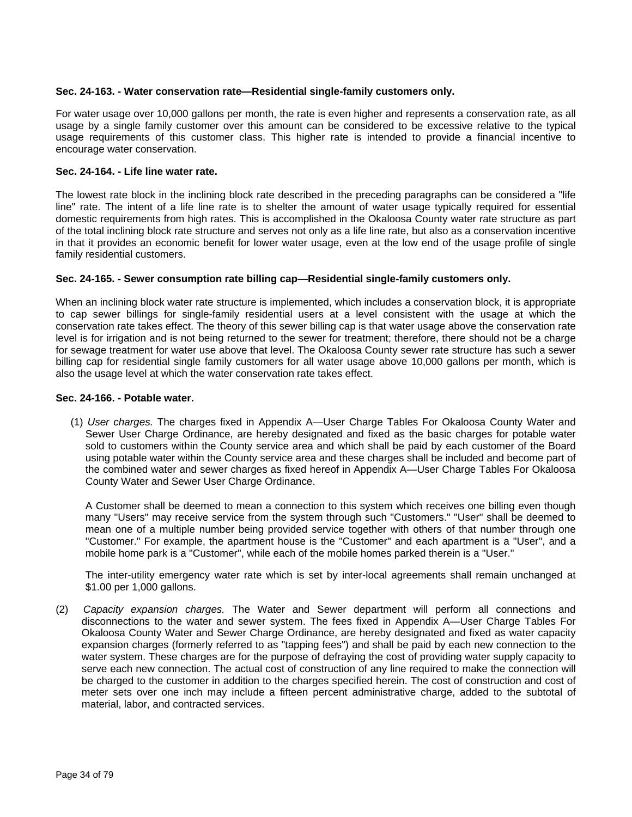#### **Sec. 24-163. - Water conservation rate—Residential single-family customers only.**

For water usage over 10,000 gallons per month, the rate is even higher and represents a conservation rate, as all usage by a single family customer over this amount can be considered to be excessive relative to the typical usage requirements of this customer class. This higher rate is intended to provide a financial incentive to encourage water conservation.

#### **Sec. 24-164. - Life line water rate.**

The lowest rate block in the inclining block rate described in the preceding paragraphs can be considered a "life line" rate. The intent of a life line rate is to shelter the amount of water usage typically required for essential domestic requirements from high rates. This is accomplished in the Okaloosa County water rate structure as part of the total inclining block rate structure and serves not only as a life line rate, but also as a conservation incentive in that it provides an economic benefit for lower water usage, even at the low end of the usage profile of single family residential customers.

#### **Sec. 24-165. - Sewer consumption rate billing cap—Residential single-family customers only.**

When an inclining block water rate structure is implemented, which includes a conservation block, it is appropriate to cap sewer billings for single-family residential users at a level consistent with the usage at which the conservation rate takes effect. The theory of this sewer billing cap is that water usage above the conservation rate level is for irrigation and is not being returned to the sewer for treatment; therefore, there should not be a charge for sewage treatment for water use above that level. The Okaloosa County sewer rate structure has such a sewer billing cap for residential single family customers for all water usage above 10,000 gallons per month, which is also the usage level at which the water conservation rate takes effect.

#### **Sec. 24-166. - Potable water.**

(1) *User charges.* The charges fixed in Appendix A—User Charge Tables For Okaloosa County Water and Sewer User Charge Ordinance, are hereby designated and fixed as the basic charges for potable water sold to customers within the County service area and which shall be paid by each customer of the Board using potable water within the County service area and these charges shall be included and become part of the combined water and sewer charges as fixed hereof in Appendix A—User Charge Tables For Okaloosa County Water and Sewer User Charge Ordinance.

A Customer shall be deemed to mean a connection to this system which receives one billing even though many "Users" may receive service from the system through such "Customers." "User" shall be deemed to mean one of a multiple number being provided service together with others of that number through one "Customer." For example, the apartment house is the "Customer" and each apartment is a "User", and a mobile home park is a "Customer", while each of the mobile homes parked therein is a "User."

The inter-utility emergency water rate which is set by inter-local agreements shall remain unchanged at \$1.00 per 1,000 gallons.

(2) *Capacity expansion charges.* The Water and Sewer department will perform all connections and disconnections to the water and sewer system. The fees fixed in Appendix A—User Charge Tables For Okaloosa County Water and Sewer Charge Ordinance, are hereby designated and fixed as water capacity expansion charges (formerly referred to as "tapping fees") and shall be paid by each new connection to the water system. These charges are for the purpose of defraying the cost of providing water supply capacity to serve each new connection. The actual cost of construction of any line required to make the connection will be charged to the customer in addition to the charges specified herein. The cost of construction and cost of meter sets over one inch may include a fifteen percent administrative charge, added to the subtotal of material, labor, and contracted services.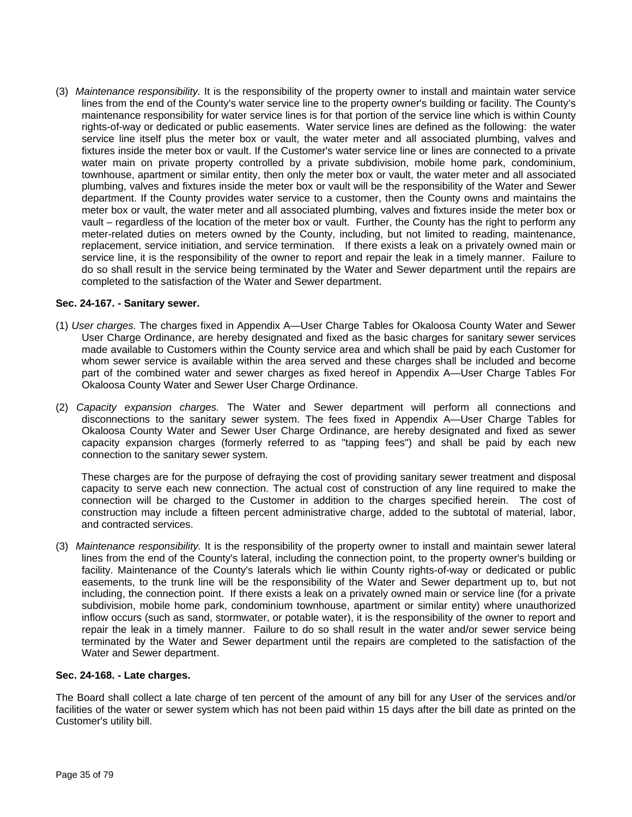(3) *Maintenance responsibility.* It is the responsibility of the property owner to install and maintain water service lines from the end of the County's water service line to the property owner's building or facility. The County's maintenance responsibility for water service lines is for that portion of the service line which is within County rights-of-way or dedicated or public easements. Water service lines are defined as the following: the water service line itself plus the meter box or vault, the water meter and all associated plumbing, valves and fixtures inside the meter box or vault. If the Customer's water service line or lines are connected to a private water main on private property controlled by a private subdivision, mobile home park, condominium, townhouse, apartment or similar entity, then only the meter box or vault, the water meter and all associated plumbing, valves and fixtures inside the meter box or vault will be the responsibility of the Water and Sewer department. If the County provides water service to a customer, then the County owns and maintains the meter box or vault, the water meter and all associated plumbing, valves and fixtures inside the meter box or vault – regardless of the location of the meter box or vault. Further, the County has the right to perform any meter-related duties on meters owned by the County, including, but not limited to reading, maintenance, replacement, service initiation, and service termination. If there exists a leak on a privately owned main or service line, it is the responsibility of the owner to report and repair the leak in a timely manner. Failure to do so shall result in the service being terminated by the Water and Sewer department until the repairs are completed to the satisfaction of the Water and Sewer department.

#### **Sec. 24-167. - Sanitary sewer.**

- (1) *User charges.* The charges fixed in Appendix A—User Charge Tables for Okaloosa County Water and Sewer User Charge Ordinance, are hereby designated and fixed as the basic charges for sanitary sewer services made available to Customers within the County service area and which shall be paid by each Customer for whom sewer service is available within the area served and these charges shall be included and become part of the combined water and sewer charges as fixed hereof in Appendix A—User Charge Tables For Okaloosa County Water and Sewer User Charge Ordinance.
- (2) *Capacity expansion charges.* The Water and Sewer department will perform all connections and disconnections to the sanitary sewer system. The fees fixed in Appendix A—User Charge Tables for Okaloosa County Water and Sewer User Charge Ordinance, are hereby designated and fixed as sewer capacity expansion charges (formerly referred to as "tapping fees") and shall be paid by each new connection to the sanitary sewer system.

These charges are for the purpose of defraying the cost of providing sanitary sewer treatment and disposal capacity to serve each new connection. The actual cost of construction of any line required to make the connection will be charged to the Customer in addition to the charges specified herein. The cost of construction may include a fifteen percent administrative charge, added to the subtotal of material, labor, and contracted services.

(3) *Maintenance responsibility.* It is the responsibility of the property owner to install and maintain sewer lateral lines from the end of the County's lateral, including the connection point, to the property owner's building or facility. Maintenance of the County's laterals which lie within County rights-of-way or dedicated or public easements, to the trunk line will be the responsibility of the Water and Sewer department up to, but not including, the connection point. If there exists a leak on a privately owned main or service line (for a private subdivision, mobile home park, condominium townhouse, apartment or similar entity) where unauthorized inflow occurs (such as sand, stormwater, or potable water), it is the responsibility of the owner to report and repair the leak in a timely manner. Failure to do so shall result in the water and/or sewer service being terminated by the Water and Sewer department until the repairs are completed to the satisfaction of the Water and Sewer department.

#### **Sec. 24-168. - Late charges.**

The Board shall collect a late charge of ten percent of the amount of any bill for any User of the services and/or facilities of the water or sewer system which has not been paid within 15 days after the bill date as printed on the Customer's utility bill.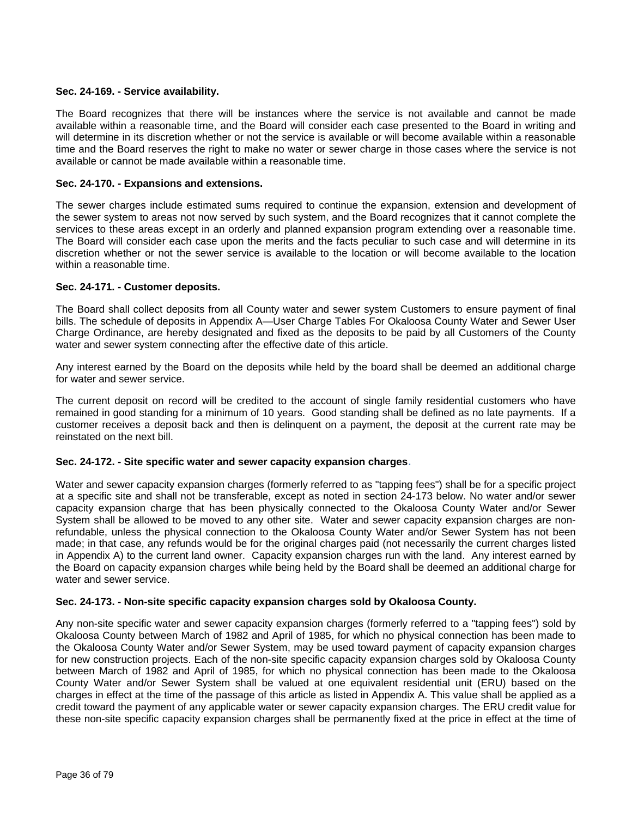#### **Sec. 24-169. - Service availability.**

The Board recognizes that there will be instances where the service is not available and cannot be made available within a reasonable time, and the Board will consider each case presented to the Board in writing and will determine in its discretion whether or not the service is available or will become available within a reasonable time and the Board reserves the right to make no water or sewer charge in those cases where the service is not available or cannot be made available within a reasonable time.

#### **Sec. 24-170. - Expansions and extensions.**

The sewer charges include estimated sums required to continue the expansion, extension and development of the sewer system to areas not now served by such system, and the Board recognizes that it cannot complete the services to these areas except in an orderly and planned expansion program extending over a reasonable time. The Board will consider each case upon the merits and the facts peculiar to such case and will determine in its discretion whether or not the sewer service is available to the location or will become available to the location within a reasonable time.

#### **Sec. 24-171. - Customer deposits.**

The Board shall collect deposits from all County water and sewer system Customers to ensure payment of final bills. The schedule of deposits in Appendix A—User Charge Tables For Okaloosa County Water and Sewer User Charge Ordinance, are hereby designated and fixed as the deposits to be paid by all Customers of the County water and sewer system connecting after the effective date of this article.

Any interest earned by the Board on the deposits while held by the board shall be deemed an additional charge for water and sewer service.

The current deposit on record will be credited to the account of single family residential customers who have remained in good standing for a minimum of 10 years. Good standing shall be defined as no late payments. If a customer receives a deposit back and then is delinquent on a payment, the deposit at the current rate may be reinstated on the next bill.

#### **Sec. 24-172. - Site specific water and sewer capacity expansion charges**.

Water and sewer capacity expansion charges (formerly referred to as "tapping fees") shall be for a specific project at a specific site and shall not be transferable, except as noted in section 24-173 below. No water and/or sewer capacity expansion charge that has been physically connected to the Okaloosa County Water and/or Sewer System shall be allowed to be moved to any other site. Water and sewer capacity expansion charges are nonrefundable, unless the physical connection to the Okaloosa County Water and/or Sewer System has not been made; in that case, any refunds would be for the original charges paid (not necessarily the current charges listed in Appendix A) to the current land owner. Capacity expansion charges run with the land. Any interest earned by the Board on capacity expansion charges while being held by the Board shall be deemed an additional charge for water and sewer service.

#### **Sec. 24-173. - Non-site specific capacity expansion charges sold by Okaloosa County.**

Any non-site specific water and sewer capacity expansion charges (formerly referred to a "tapping fees") sold by Okaloosa County between March of 1982 and April of 1985, for which no physical connection has been made to the Okaloosa County Water and/or Sewer System, may be used toward payment of capacity expansion charges for new construction projects. Each of the non-site specific capacity expansion charges sold by Okaloosa County between March of 1982 and April of 1985, for which no physical connection has been made to the Okaloosa County Water and/or Sewer System shall be valued at one equivalent residential unit (ERU) based on the charges in effect at the time of the passage of this article as listed in Appendix A. This value shall be applied as a credit toward the payment of any applicable water or sewer capacity expansion charges. The ERU credit value for these non-site specific capacity expansion charges shall be permanently fixed at the price in effect at the time of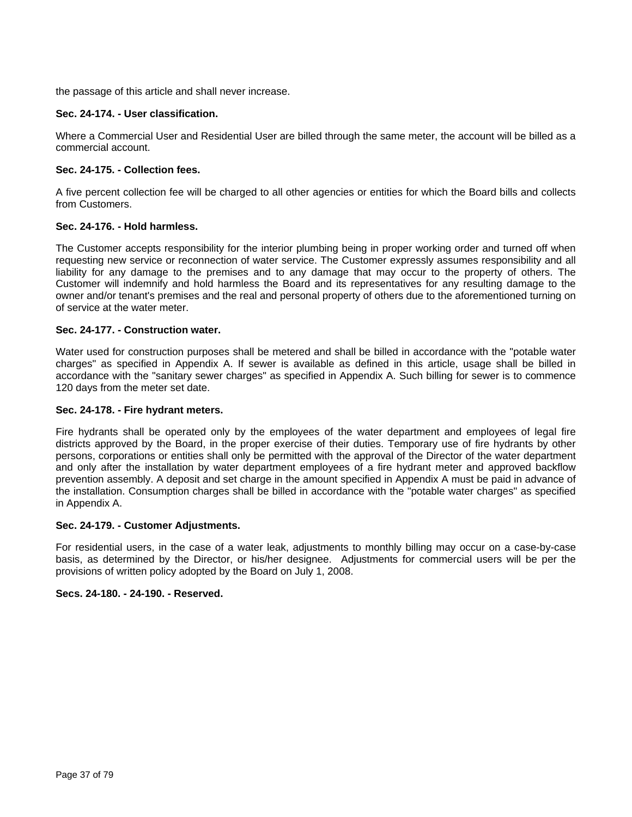the passage of this article and shall never increase.

## **Sec. 24-174. - User classification.**

Where a Commercial User and Residential User are billed through the same meter, the account will be billed as a commercial account.

## **Sec. 24-175. - Collection fees.**

A five percent collection fee will be charged to all other agencies or entities for which the Board bills and collects from Customers.

## **Sec. 24-176. - Hold harmless.**

The Customer accepts responsibility for the interior plumbing being in proper working order and turned off when requesting new service or reconnection of water service. The Customer expressly assumes responsibility and all liability for any damage to the premises and to any damage that may occur to the property of others. The Customer will indemnify and hold harmless the Board and its representatives for any resulting damage to the owner and/or tenant's premises and the real and personal property of others due to the aforementioned turning on of service at the water meter.

## **Sec. 24-177. - Construction water.**

Water used for construction purposes shall be metered and shall be billed in accordance with the "potable water charges" as specified in Appendix A. If sewer is available as defined in this article, usage shall be billed in accordance with the "sanitary sewer charges" as specified in Appendix A. Such billing for sewer is to commence 120 days from the meter set date.

## **Sec. 24-178. - Fire hydrant meters.**

Fire hydrants shall be operated only by the employees of the water department and employees of legal fire districts approved by the Board, in the proper exercise of their duties. Temporary use of fire hydrants by other persons, corporations or entities shall only be permitted with the approval of the Director of the water department and only after the installation by water department employees of a fire hydrant meter and approved backflow prevention assembly. A deposit and set charge in the amount specified in Appendix A must be paid in advance of the installation. Consumption charges shall be billed in accordance with the "potable water charges" as specified in Appendix A.

## **Sec. 24-179. - Customer Adjustments.**

For residential users, in the case of a water leak, adjustments to monthly billing may occur on a case-by-case basis, as determined by the Director, or his/her designee. Adjustments for commercial users will be per the provisions of written policy adopted by the Board on July 1, 2008.

## **Secs. 24-180. - 24-190. - Reserved.**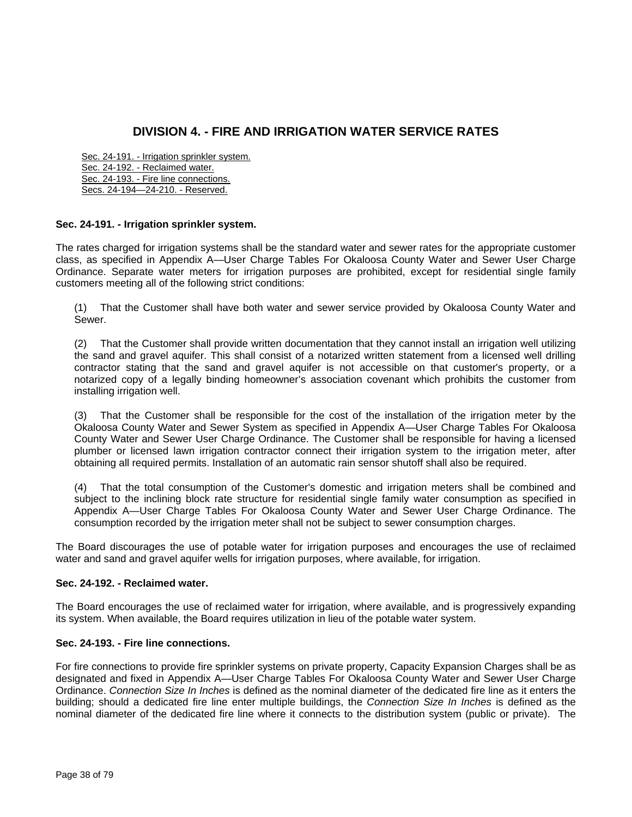# **DIVISION 4. - FIRE AND IRRIGATION WATER SERVICE RATES**

Sec. 24-191. - Irrigation sprinkler system. Sec. 24-192. - Reclaimed water. Sec. 24-193. - Fire line connections. Secs. 24-194—24-210. - Reserved.

## **Sec. 24-191. - Irrigation sprinkler system.**

The rates charged for irrigation systems shall be the standard water and sewer rates for the appropriate customer class, as specified in Appendix A—User Charge Tables For Okaloosa County Water and Sewer User Charge Ordinance. Separate water meters for irrigation purposes are prohibited, except for residential single family customers meeting all of the following strict conditions:

(1) That the Customer shall have both water and sewer service provided by Okaloosa County Water and Sewer.

(2) That the Customer shall provide written documentation that they cannot install an irrigation well utilizing the sand and gravel aquifer. This shall consist of a notarized written statement from a licensed well drilling contractor stating that the sand and gravel aquifer is not accessible on that customer's property, or a notarized copy of a legally binding homeowner's association covenant which prohibits the customer from installing irrigation well.

(3) That the Customer shall be responsible for the cost of the installation of the irrigation meter by the Okaloosa County Water and Sewer System as specified in Appendix A—User Charge Tables For Okaloosa County Water and Sewer User Charge Ordinance. The Customer shall be responsible for having a licensed plumber or licensed lawn irrigation contractor connect their irrigation system to the irrigation meter, after obtaining all required permits. Installation of an automatic rain sensor shutoff shall also be required.

(4) That the total consumption of the Customer's domestic and irrigation meters shall be combined and subject to the inclining block rate structure for residential single family water consumption as specified in Appendix A—User Charge Tables For Okaloosa County Water and Sewer User Charge Ordinance. The consumption recorded by the irrigation meter shall not be subject to sewer consumption charges.

The Board discourages the use of potable water for irrigation purposes and encourages the use of reclaimed water and sand and gravel aquifer wells for irrigation purposes, where available, for irrigation.

## **Sec. 24-192. - Reclaimed water.**

The Board encourages the use of reclaimed water for irrigation, where available, and is progressively expanding its system. When available, the Board requires utilization in lieu of the potable water system.

## **Sec. 24-193. - Fire line connections.**

For fire connections to provide fire sprinkler systems on private property, Capacity Expansion Charges shall be as designated and fixed in Appendix A—User Charge Tables For Okaloosa County Water and Sewer User Charge Ordinance. *Connection Size In Inches* is defined as the nominal diameter of the dedicated fire line as it enters the building; should a dedicated fire line enter multiple buildings, the *Connection Size In Inches* is defined as the nominal diameter of the dedicated fire line where it connects to the distribution system (public or private). The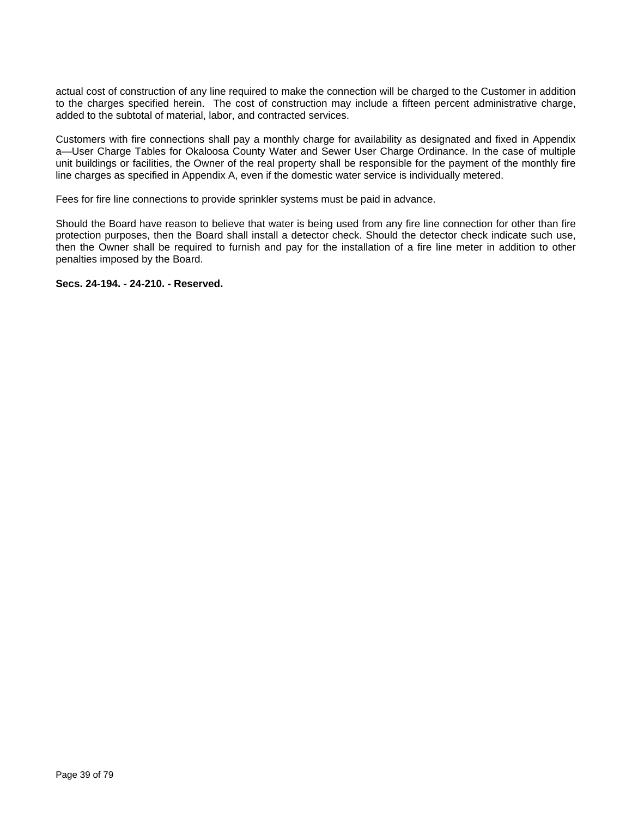actual cost of construction of any line required to make the connection will be charged to the Customer in addition to the charges specified herein. The cost of construction may include a fifteen percent administrative charge, added to the subtotal of material, labor, and contracted services.

Customers with fire connections shall pay a monthly charge for availability as designated and fixed in Appendix a—User Charge Tables for Okaloosa County Water and Sewer User Charge Ordinance. In the case of multiple unit buildings or facilities, the Owner of the real property shall be responsible for the payment of the monthly fire line charges as specified in Appendix A, even if the domestic water service is individually metered.

Fees for fire line connections to provide sprinkler systems must be paid in advance.

Should the Board have reason to believe that water is being used from any fire line connection for other than fire protection purposes, then the Board shall install a detector check. Should the detector check indicate such use, then the Owner shall be required to furnish and pay for the installation of a fire line meter in addition to other penalties imposed by the Board.

**Secs. 24-194. - 24-210. - Reserved.**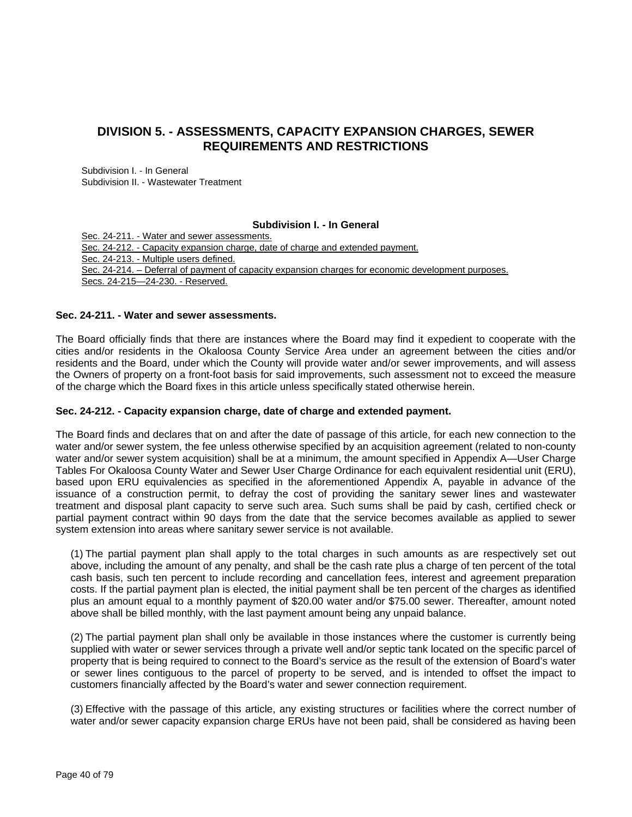## **DIVISION 5. - ASSESSMENTS, CAPACITY EXPANSION CHARGES, SEWER REQUIREMENTS AND RESTRICTIONS**

Subdivision I. - In General Subdivision II. - Wastewater Treatment

## **Subdivision I. - In General**

Sec. 24-211. - Water and sewer assessments. Sec. 24-212. - Capacity expansion charge, date of charge and extended payment. Sec. 24-213. - Multiple users defined. Sec. 24-214. – Deferral of payment of capacity expansion charges for economic development purposes. Secs. 24-215—24-230. - Reserved.

#### **Sec. 24-211. - Water and sewer assessments.**

The Board officially finds that there are instances where the Board may find it expedient to cooperate with the cities and/or residents in the Okaloosa County Service Area under an agreement between the cities and/or residents and the Board, under which the County will provide water and/or sewer improvements, and will assess the Owners of property on a front-foot basis for said improvements, such assessment not to exceed the measure of the charge which the Board fixes in this article unless specifically stated otherwise herein.

#### **Sec. 24-212. - Capacity expansion charge, date of charge and extended payment.**

The Board finds and declares that on and after the date of passage of this article, for each new connection to the water and/or sewer system, the fee unless otherwise specified by an acquisition agreement (related to non-county water and/or sewer system acquisition) shall be at a minimum, the amount specified in Appendix A—User Charge Tables For Okaloosa County Water and Sewer User Charge Ordinance for each equivalent residential unit (ERU), based upon ERU equivalencies as specified in the aforementioned Appendix A, payable in advance of the issuance of a construction permit, to defray the cost of providing the sanitary sewer lines and wastewater treatment and disposal plant capacity to serve such area. Such sums shall be paid by cash, certified check or partial payment contract within 90 days from the date that the service becomes available as applied to sewer system extension into areas where sanitary sewer service is not available.

(1) The partial payment plan shall apply to the total charges in such amounts as are respectively set out above, including the amount of any penalty, and shall be the cash rate plus a charge of ten percent of the total cash basis, such ten percent to include recording and cancellation fees, interest and agreement preparation costs. If the partial payment plan is elected, the initial payment shall be ten percent of the charges as identified plus an amount equal to a monthly payment of \$20.00 water and/or \$75.00 sewer. Thereafter, amount noted above shall be billed monthly, with the last payment amount being any unpaid balance.

(2) The partial payment plan shall only be available in those instances where the customer is currently being supplied with water or sewer services through a private well and/or septic tank located on the specific parcel of property that is being required to connect to the Board's service as the result of the extension of Board's water or sewer lines contiguous to the parcel of property to be served, and is intended to offset the impact to customers financially affected by the Board's water and sewer connection requirement.

(3) Effective with the passage of this article, any existing structures or facilities where the correct number of water and/or sewer capacity expansion charge ERUs have not been paid, shall be considered as having been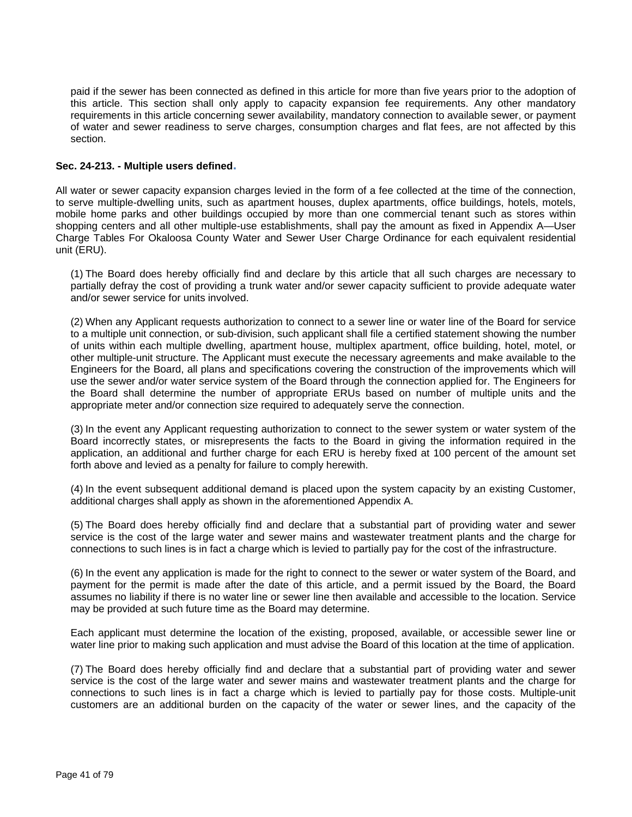paid if the sewer has been connected as defined in this article for more than five years prior to the adoption of this article. This section shall only apply to capacity expansion fee requirements. Any other mandatory requirements in this article concerning sewer availability, mandatory connection to available sewer, or payment of water and sewer readiness to serve charges, consumption charges and flat fees, are not affected by this section.

## **Sec. 24-213. - Multiple users defined.**

All water or sewer capacity expansion charges levied in the form of a fee collected at the time of the connection, to serve multiple-dwelling units, such as apartment houses, duplex apartments, office buildings, hotels, motels, mobile home parks and other buildings occupied by more than one commercial tenant such as stores within shopping centers and all other multiple-use establishments, shall pay the amount as fixed in Appendix A—User Charge Tables For Okaloosa County Water and Sewer User Charge Ordinance for each equivalent residential unit (ERU).

(1) The Board does hereby officially find and declare by this article that all such charges are necessary to partially defray the cost of providing a trunk water and/or sewer capacity sufficient to provide adequate water and/or sewer service for units involved.

(2) When any Applicant requests authorization to connect to a sewer line or water line of the Board for service to a multiple unit connection, or sub-division, such applicant shall file a certified statement showing the number of units within each multiple dwelling, apartment house, multiplex apartment, office building, hotel, motel, or other multiple-unit structure. The Applicant must execute the necessary agreements and make available to the Engineers for the Board, all plans and specifications covering the construction of the improvements which will use the sewer and/or water service system of the Board through the connection applied for. The Engineers for the Board shall determine the number of appropriate ERUs based on number of multiple units and the appropriate meter and/or connection size required to adequately serve the connection.

(3) In the event any Applicant requesting authorization to connect to the sewer system or water system of the Board incorrectly states, or misrepresents the facts to the Board in giving the information required in the application, an additional and further charge for each ERU is hereby fixed at 100 percent of the amount set forth above and levied as a penalty for failure to comply herewith.

(4) In the event subsequent additional demand is placed upon the system capacity by an existing Customer, additional charges shall apply as shown in the aforementioned Appendix A.

(5) The Board does hereby officially find and declare that a substantial part of providing water and sewer service is the cost of the large water and sewer mains and wastewater treatment plants and the charge for connections to such lines is in fact a charge which is levied to partially pay for the cost of the infrastructure.

(6) In the event any application is made for the right to connect to the sewer or water system of the Board, and payment for the permit is made after the date of this article, and a permit issued by the Board, the Board assumes no liability if there is no water line or sewer line then available and accessible to the location. Service may be provided at such future time as the Board may determine.

Each applicant must determine the location of the existing, proposed, available, or accessible sewer line or water line prior to making such application and must advise the Board of this location at the time of application.

(7) The Board does hereby officially find and declare that a substantial part of providing water and sewer service is the cost of the large water and sewer mains and wastewater treatment plants and the charge for connections to such lines is in fact a charge which is levied to partially pay for those costs. Multiple-unit customers are an additional burden on the capacity of the water or sewer lines, and the capacity of the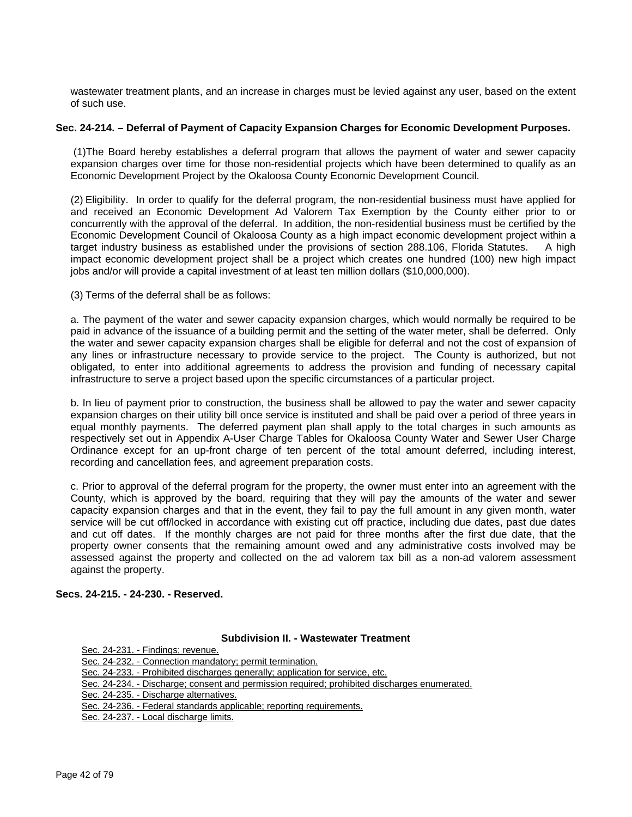wastewater treatment plants, and an increase in charges must be levied against any user, based on the extent of such use.

#### **Sec. 24-214. – Deferral of Payment of Capacity Expansion Charges for Economic Development Purposes.**

(1)The Board hereby establishes a deferral program that allows the payment of water and sewer capacity expansion charges over time for those non-residential projects which have been determined to qualify as an Economic Development Project by the Okaloosa County Economic Development Council.

(2) Eligibility. In order to qualify for the deferral program, the non-residential business must have applied for and received an Economic Development Ad Valorem Tax Exemption by the County either prior to or concurrently with the approval of the deferral. In addition, the non-residential business must be certified by the Economic Development Council of Okaloosa County as a high impact economic development project within a target industry business as established under the provisions of section 288.106, Florida Statutes. A high impact economic development project shall be a project which creates one hundred (100) new high impact jobs and/or will provide a capital investment of at least ten million dollars (\$10,000,000).

(3) Terms of the deferral shall be as follows:

a. The payment of the water and sewer capacity expansion charges, which would normally be required to be paid in advance of the issuance of a building permit and the setting of the water meter, shall be deferred. Only the water and sewer capacity expansion charges shall be eligible for deferral and not the cost of expansion of any lines or infrastructure necessary to provide service to the project. The County is authorized, but not obligated, to enter into additional agreements to address the provision and funding of necessary capital infrastructure to serve a project based upon the specific circumstances of a particular project.

b. In lieu of payment prior to construction, the business shall be allowed to pay the water and sewer capacity expansion charges on their utility bill once service is instituted and shall be paid over a period of three years in equal monthly payments. The deferred payment plan shall apply to the total charges in such amounts as respectively set out in Appendix A-User Charge Tables for Okaloosa County Water and Sewer User Charge Ordinance except for an up-front charge of ten percent of the total amount deferred, including interest, recording and cancellation fees, and agreement preparation costs.

c. Prior to approval of the deferral program for the property, the owner must enter into an agreement with the County, which is approved by the board, requiring that they will pay the amounts of the water and sewer capacity expansion charges and that in the event, they fail to pay the full amount in any given month, water service will be cut off/locked in accordance with existing cut off practice, including due dates, past due dates and cut off dates. If the monthly charges are not paid for three months after the first due date, that the property owner consents that the remaining amount owed and any administrative costs involved may be assessed against the property and collected on the ad valorem tax bill as a non-ad valorem assessment against the property.

## **Secs. 24-215. - 24-230. - Reserved.**

#### **Subdivision II. - Wastewater Treatment**

| Sec. 24-231. - Findings; revenue.                                                            |
|----------------------------------------------------------------------------------------------|
| Sec. 24-232. - Connection mandatory; permit termination.                                     |
| Sec. 24-233. - Prohibited discharges generally; application for service, etc.                |
| Sec. 24-234. - Discharge; consent and permission required; prohibited discharges enumerated. |
| Sec. 24-235. - Discharge alternatives.                                                       |
| Sec. 24-236. - Federal standards applicable; reporting requirements.                         |
| Sec. 24-237. - Local discharge limits.                                                       |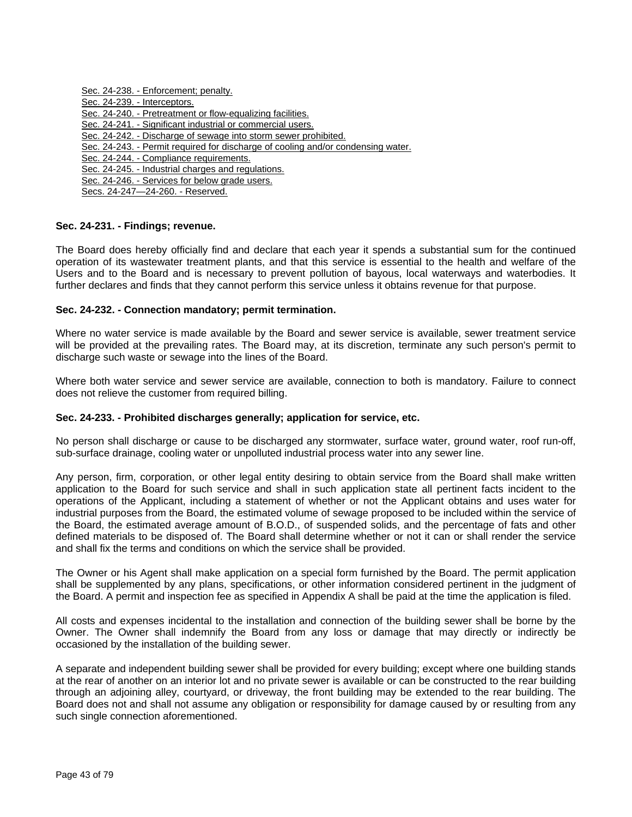Sec. 24-238. - Enforcement; penalty. Sec. 24-239. - Interceptors. Sec. 24-240. - Pretreatment or flow-equalizing facilities. Sec. 24-241. - Significant industrial or commercial users. Sec. 24-242. - Discharge of sewage into storm sewer prohibited. Sec. 24-243. - Permit required for discharge of cooling and/or condensing water. Sec. 24-244. - Compliance requirements. Sec. 24-245. - Industrial charges and regulations. Sec. 24-246. - Services for below grade users. Secs. 24-247—24-260. - Reserved.

#### **Sec. 24-231. - Findings; revenue.**

The Board does hereby officially find and declare that each year it spends a substantial sum for the continued operation of its wastewater treatment plants, and that this service is essential to the health and welfare of the Users and to the Board and is necessary to prevent pollution of bayous, local waterways and waterbodies. It further declares and finds that they cannot perform this service unless it obtains revenue for that purpose.

#### **Sec. 24-232. - Connection mandatory; permit termination.**

Where no water service is made available by the Board and sewer service is available, sewer treatment service will be provided at the prevailing rates. The Board may, at its discretion, terminate any such person's permit to discharge such waste or sewage into the lines of the Board.

Where both water service and sewer service are available, connection to both is mandatory. Failure to connect does not relieve the customer from required billing.

#### **Sec. 24-233. - Prohibited discharges generally; application for service, etc.**

No person shall discharge or cause to be discharged any stormwater, surface water, ground water, roof run-off, sub-surface drainage, cooling water or unpolluted industrial process water into any sewer line.

Any person, firm, corporation, or other legal entity desiring to obtain service from the Board shall make written application to the Board for such service and shall in such application state all pertinent facts incident to the operations of the Applicant, including a statement of whether or not the Applicant obtains and uses water for industrial purposes from the Board, the estimated volume of sewage proposed to be included within the service of the Board, the estimated average amount of B.O.D., of suspended solids, and the percentage of fats and other defined materials to be disposed of. The Board shall determine whether or not it can or shall render the service and shall fix the terms and conditions on which the service shall be provided.

The Owner or his Agent shall make application on a special form furnished by the Board. The permit application shall be supplemented by any plans, specifications, or other information considered pertinent in the judgment of the Board. A permit and inspection fee as specified in Appendix A shall be paid at the time the application is filed.

All costs and expenses incidental to the installation and connection of the building sewer shall be borne by the Owner. The Owner shall indemnify the Board from any loss or damage that may directly or indirectly be occasioned by the installation of the building sewer.

A separate and independent building sewer shall be provided for every building; except where one building stands at the rear of another on an interior lot and no private sewer is available or can be constructed to the rear building through an adjoining alley, courtyard, or driveway, the front building may be extended to the rear building. The Board does not and shall not assume any obligation or responsibility for damage caused by or resulting from any such single connection aforementioned.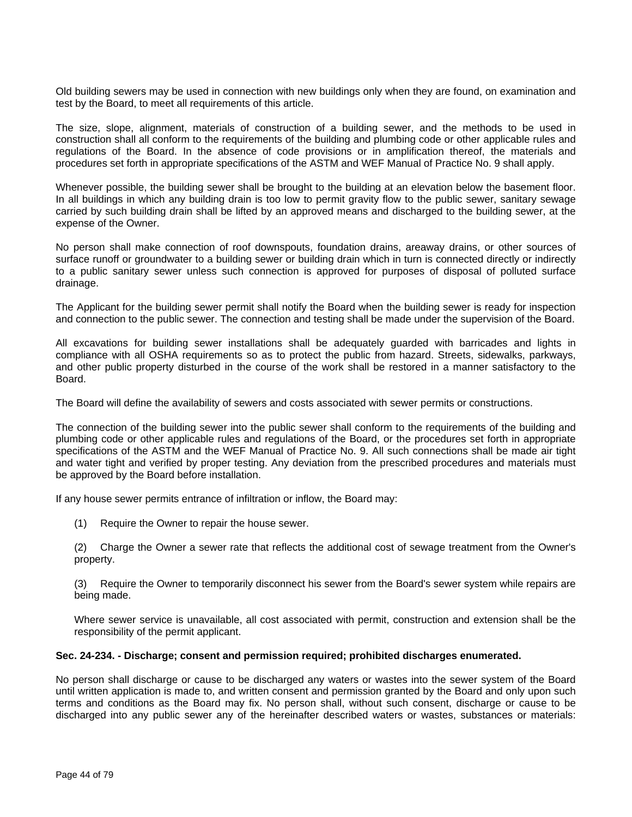Old building sewers may be used in connection with new buildings only when they are found, on examination and test by the Board, to meet all requirements of this article.

The size, slope, alignment, materials of construction of a building sewer, and the methods to be used in construction shall all conform to the requirements of the building and plumbing code or other applicable rules and regulations of the Board. In the absence of code provisions or in amplification thereof, the materials and procedures set forth in appropriate specifications of the ASTM and WEF Manual of Practice No. 9 shall apply.

Whenever possible, the building sewer shall be brought to the building at an elevation below the basement floor. In all buildings in which any building drain is too low to permit gravity flow to the public sewer, sanitary sewage carried by such building drain shall be lifted by an approved means and discharged to the building sewer, at the expense of the Owner.

No person shall make connection of roof downspouts, foundation drains, areaway drains, or other sources of surface runoff or groundwater to a building sewer or building drain which in turn is connected directly or indirectly to a public sanitary sewer unless such connection is approved for purposes of disposal of polluted surface drainage.

The Applicant for the building sewer permit shall notify the Board when the building sewer is ready for inspection and connection to the public sewer. The connection and testing shall be made under the supervision of the Board.

All excavations for building sewer installations shall be adequately guarded with barricades and lights in compliance with all OSHA requirements so as to protect the public from hazard. Streets, sidewalks, parkways, and other public property disturbed in the course of the work shall be restored in a manner satisfactory to the Board.

The Board will define the availability of sewers and costs associated with sewer permits or constructions.

The connection of the building sewer into the public sewer shall conform to the requirements of the building and plumbing code or other applicable rules and regulations of the Board, or the procedures set forth in appropriate specifications of the ASTM and the WEF Manual of Practice No. 9. All such connections shall be made air tight and water tight and verified by proper testing. Any deviation from the prescribed procedures and materials must be approved by the Board before installation.

If any house sewer permits entrance of infiltration or inflow, the Board may:

(1) Require the Owner to repair the house sewer.

(2) Charge the Owner a sewer rate that reflects the additional cost of sewage treatment from the Owner's property.

(3) Require the Owner to temporarily disconnect his sewer from the Board's sewer system while repairs are being made.

Where sewer service is unavailable, all cost associated with permit, construction and extension shall be the responsibility of the permit applicant.

#### **Sec. 24-234. - Discharge; consent and permission required; prohibited discharges enumerated.**

No person shall discharge or cause to be discharged any waters or wastes into the sewer system of the Board until written application is made to, and written consent and permission granted by the Board and only upon such terms and conditions as the Board may fix. No person shall, without such consent, discharge or cause to be discharged into any public sewer any of the hereinafter described waters or wastes, substances or materials: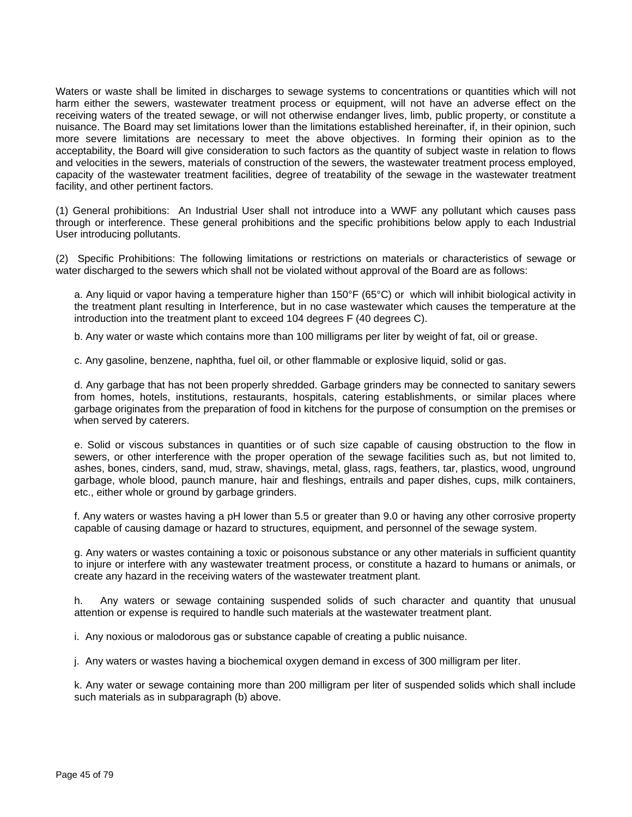Waters or waste shall be limited in discharges to sewage systems to concentrations or quantities which will not harm either the sewers, wastewater treatment process or equipment, will not have an adverse effect on the receiving waters of the treated sewage, or will not otherwise endanger lives, limb, public property, or constitute a nuisance. The Board may set limitations lower than the limitations established hereinafter, if, in their opinion, such more severe limitations are necessary to meet the above objectives. In forming their opinion as to the acceptability, the Board will give consideration to such factors as the quantity of subject waste in relation to flows and velocities in the sewers, materials of construction of the sewers, the wastewater treatment process employed, capacity of the wastewater treatment facilities, degree of treatability of the sewage in the wastewater treatment facility, and other pertinent factors.

(1) General prohibitions: An Industrial User shall not introduce into a WWF any pollutant which causes pass through or interference. These general prohibitions and the specific prohibitions below apply to each Industrial User introducing pollutants.

(2) Specific Prohibitions: The following limitations or restrictions on materials or characteristics of sewage or water discharged to the sewers which shall not be violated without approval of the Board are as follows:

a. Any liquid or vapor having a temperature higher than 150°F (65°C) or which will inhibit biological activity in the treatment plant resulting in Interference, but in no case wastewater which causes the temperature at the introduction into the treatment plant to exceed 104 degrees F (40 degrees C).

b. Any water or waste which contains more than 100 milligrams per liter by weight of fat, oil or grease.

c. Any gasoline, benzene, naphtha, fuel oil, or other flammable or explosive liquid, solid or gas.

d. Any garbage that has not been properly shredded. Garbage grinders may be connected to sanitary sewers from homes, hotels, institutions, restaurants, hospitals, catering establishments, or similar places where garbage originates from the preparation of food in kitchens for the purpose of consumption on the premises or when served by caterers.

e. Solid or viscous substances in quantities or of such size capable of causing obstruction to the flow in sewers, or other interference with the proper operation of the sewage facilities such as, but not limited to, ashes, bones, cinders, sand, mud, straw, shavings, metal, glass, rags, feathers, tar, plastics, wood, unground garbage, whole blood, paunch manure, hair and fleshings, entrails and paper dishes, cups, milk containers, etc., either whole or ground by garbage grinders.

f. Any waters or wastes having a pH lower than 5.5 or greater than 9.0 or having any other corrosive property capable of causing damage or hazard to structures, equipment, and personnel of the sewage system.

g. Any waters or wastes containing a toxic or poisonous substance or any other materials in sufficient quantity to injure or interfere with any wastewater treatment process, or constitute a hazard to humans or animals, or create any hazard in the receiving waters of the wastewater treatment plant.

h. Any waters or sewage containing suspended solids of such character and quantity that unusual attention or expense is required to handle such materials at the wastewater treatment plant.

i. Any noxious or malodorous gas or substance capable of creating a public nuisance.

j. Any waters or wastes having a biochemical oxygen demand in excess of 300 milligram per liter.

k. Any water or sewage containing more than 200 milligram per liter of suspended solids which shall include such materials as in subparagraph (b) above.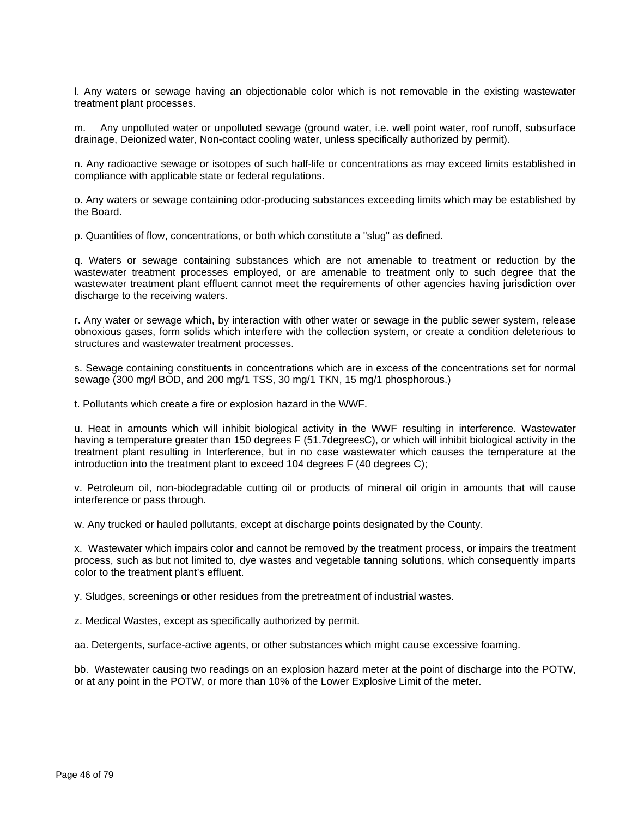l. Any waters or sewage having an objectionable color which is not removable in the existing wastewater treatment plant processes.

m. Any unpolluted water or unpolluted sewage (ground water, i.e. well point water, roof runoff, subsurface drainage, Deionized water, Non-contact cooling water, unless specifically authorized by permit).

n. Any radioactive sewage or isotopes of such half-life or concentrations as may exceed limits established in compliance with applicable state or federal regulations.

o. Any waters or sewage containing odor-producing substances exceeding limits which may be established by the Board.

p. Quantities of flow, concentrations, or both which constitute a "slug" as defined.

q. Waters or sewage containing substances which are not amenable to treatment or reduction by the wastewater treatment processes employed, or are amenable to treatment only to such degree that the wastewater treatment plant effluent cannot meet the requirements of other agencies having jurisdiction over discharge to the receiving waters.

r. Any water or sewage which, by interaction with other water or sewage in the public sewer system, release obnoxious gases, form solids which interfere with the collection system, or create a condition deleterious to structures and wastewater treatment processes.

s. Sewage containing constituents in concentrations which are in excess of the concentrations set for normal sewage (300 mg/l BOD, and 200 mg/1 TSS, 30 mg/1 TKN, 15 mg/1 phosphorous.)

t. Pollutants which create a fire or explosion hazard in the WWF.

u. Heat in amounts which will inhibit biological activity in the WWF resulting in interference. Wastewater having a temperature greater than 150 degrees F (51.7degreesC), or which will inhibit biological activity in the treatment plant resulting in Interference, but in no case wastewater which causes the temperature at the introduction into the treatment plant to exceed 104 degrees F (40 degrees C);

v. Petroleum oil, non-biodegradable cutting oil or products of mineral oil origin in amounts that will cause interference or pass through.

w. Any trucked or hauled pollutants, except at discharge points designated by the County.

x. Wastewater which impairs color and cannot be removed by the treatment process, or impairs the treatment process, such as but not limited to, dye wastes and vegetable tanning solutions, which consequently imparts color to the treatment plant's effluent.

y. Sludges, screenings or other residues from the pretreatment of industrial wastes.

z. Medical Wastes, except as specifically authorized by permit.

aa. Detergents, surface-active agents, or other substances which might cause excessive foaming.

bb. Wastewater causing two readings on an explosion hazard meter at the point of discharge into the POTW, or at any point in the POTW, or more than 10% of the Lower Explosive Limit of the meter.